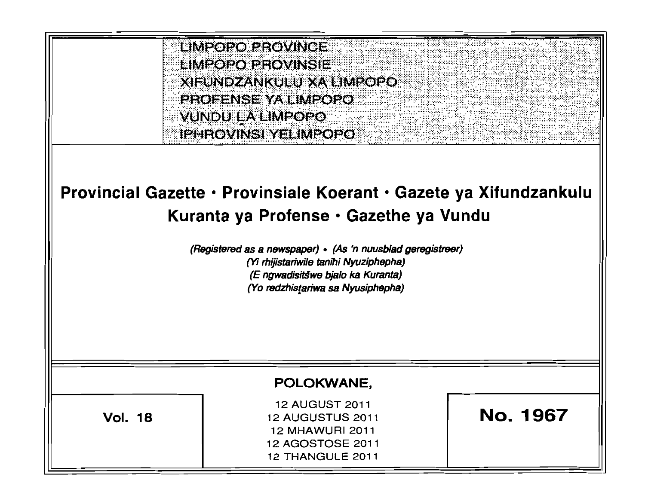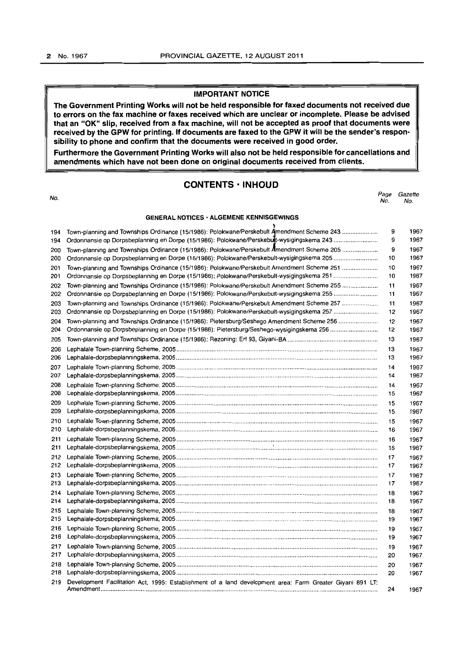# IMPORTANT NOTICE

The Government Printing Works will not be held responsible for faxed documents not received due to errors on the fax machine or faxes received which are unclear or incomplete. Please be advised that an "OK" slip, received from a fax machine, will not be accepted as proof that documents were received by the GPW for printing. If documents are faxed to the GPW it will be the sender's responsibility to phone and confirm that the documents were received in good order.

Furthermore the Government Printing Works will also not be held responsible for cancellations and amendments which have not been done on original documents received from clients.

# CONTENTS • INHOUD

| No.        |                                                                                                                                                                                         | Page<br>No. | Gazette<br>No. |
|------------|-----------------------------------------------------------------------------------------------------------------------------------------------------------------------------------------|-------------|----------------|
|            | <b>GENERAL NOTICES · ALGEMENE KENNISGEWINGS</b>                                                                                                                                         |             |                |
| 194<br>194 | Town-planning and Townships Ordinance (15/1986): Polokwane/Perskebult Amendment Scheme 243<br>Ordonnansie op Dorpsbeplanning en Dorpe (15/1986): Polokwane/Perskebuit-wysigingskema 243 | 9<br>9      | 1967<br>1967   |
| 200        | Town-planning and Townships Ordinance (15/1986): Polokwane/Perskebult Amendment Scheme 205                                                                                              | 9           | 1967           |
| 200        | Ordonnansie op Dorpsbeplanning en Dorpe (15/1986): Polokwane/Perskebult-wysigingskema 205                                                                                               | 10          | 1967           |
| 201        | Town-planning and Townships Ordinance (15/1986): Polokwane/Perskebult Amendment Scheme 251                                                                                              | 10          | 1967           |
| 201        |                                                                                                                                                                                         | 10          | 1967           |
| 202<br>202 | Town-planning and Townships Ordinance (15/1986): Polokwane/Perskebult Amendment Scheme 255<br>Ordonnansie op Dorpsbeplanning en Dorpe (15/1986): Polokwane/Perskebult-wysigingskema 255 | 11<br>11    | 1967<br>1967   |
| 203        | Town-planning and Townships Ordinance (15/1986): Polokwane/Perskebult Amendment Scheme 257                                                                                              | 11          | 1967           |
| 203        | Ordonnansie op Dorpsbeplanning en Dorpe (15/1986): Polokwane/Perskebult-wysigingskema 257                                                                                               | 12          | 1967           |
| 204        | Town-planning and Townships Ordinance (15/1986): Pietersburg/Seshego Amendment Scheme 256                                                                                               | 12          | 1967           |
| 204        | Ordonnansie op Dorpsbeplanning en Dorpe (15/1986): Pietersburg/Seshego-wysigingskema 256                                                                                                | 12          | 1967           |
| 205        |                                                                                                                                                                                         | 13          | 1967           |
| 206        |                                                                                                                                                                                         | 13          | 1967           |
| 206        |                                                                                                                                                                                         | 13          | 1967           |
| 207<br>207 |                                                                                                                                                                                         | 14          | 1967           |
| 208        |                                                                                                                                                                                         | 14          | 1967           |
| 208        |                                                                                                                                                                                         | 14<br>15    | 1967<br>1967   |
| 209        |                                                                                                                                                                                         | 15          | 1967           |
| 209        |                                                                                                                                                                                         | 15          | 1967           |
| 210        |                                                                                                                                                                                         | 15          | 1967           |
| 210        |                                                                                                                                                                                         | 16          | 1967           |
| 211        |                                                                                                                                                                                         | 16          | 1967           |
| 211        |                                                                                                                                                                                         | 16          | 1967           |
| 212        |                                                                                                                                                                                         | 17          | 1967           |
| 212        |                                                                                                                                                                                         | 17          | 1967           |
| 213        |                                                                                                                                                                                         | 17          | 1967           |
| 213        |                                                                                                                                                                                         | 17          | 1967           |
| 214        |                                                                                                                                                                                         | 18          | 1967           |
| 214        |                                                                                                                                                                                         | 18          | 1967           |
| 215        |                                                                                                                                                                                         | 18          | 1967           |
| 215        |                                                                                                                                                                                         | 19          | 1967           |
| 216<br>216 |                                                                                                                                                                                         | 19          | 1967           |
|            |                                                                                                                                                                                         | 19          | 1967           |
| 217<br>217 |                                                                                                                                                                                         | 19<br>20    | 1967<br>1967   |
| 218        |                                                                                                                                                                                         | 20          |                |
| 218        |                                                                                                                                                                                         | 20          | 1967<br>1967   |
| 219        | Development Facilitation Act, 1995: Establishment of a land development area: Farm Greater Giyani 891 LT:                                                                               |             |                |
|            |                                                                                                                                                                                         | 24          | 1967           |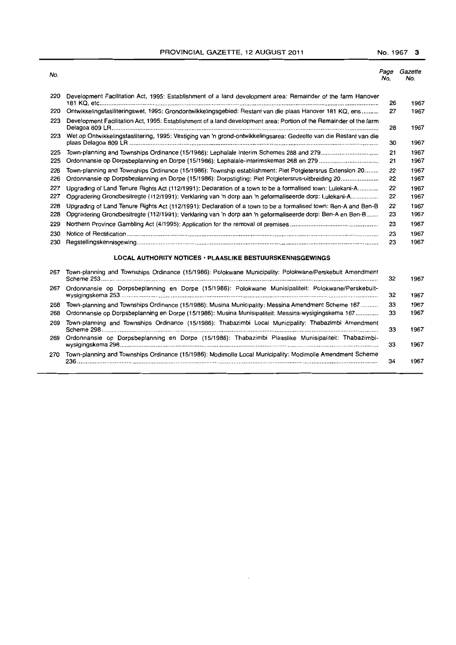# PROVINCIAL GAZETTE, 12 AUGUST 2011 No. 1967 3

| No.        |                                                                                                                                                                                                                              | Page<br>No. | Gazette<br>No. |
|------------|------------------------------------------------------------------------------------------------------------------------------------------------------------------------------------------------------------------------------|-------------|----------------|
| 220        | Development Facilitation Act, 1995: Establishment of a land development area: Remainder of the farm Hanover                                                                                                                  | 26          | 1967           |
| 220        | Ontwikkelingsfasiliteringswet, 1995: Grondontwikkelingsgebied: Restant van die plaas Hanover 181 KQ, ens                                                                                                                     | 27          | 1967           |
| 223        | Development Facilitation Act, 1995: Establishment of a land development area: Portion of the Remainder of the farm                                                                                                           | 28          | 1967           |
| 223        | Wet op Ontwikkelingsfasilitering, 1995: Vestiging van 'n grond-ontwikkelingsarea: Gedeelte van die Restant van die                                                                                                           | 30          | 1967           |
| 225<br>225 |                                                                                                                                                                                                                              | 21<br>21    | 1967<br>1967   |
| 226<br>226 | Town-planning and Townships Ordinance (15/1986): Township establishment: Piet Potgietersrus Extension 20<br>Ordonnansie op Dorpsbeplanning en Dorpe (15/1986): Dorpstigting: Piet Potgietersrus-uitbreiding 20               | 22<br>22    | 1967<br>1967   |
| 227<br>227 | Upgrading of Land Tenure Rights Act (112/1991): Declaration of a town to be a formalised town: Lulekani-A<br>Opgradering Grondbesitregte (112/1991): Verklaring van 'n dorp aan 'n geformaliseerde dorp: Lulekani-A          | 22<br>22    | 1967<br>1967   |
| 228<br>228 | Upgrading of Land Tenure Rights Act (112/1991): Declaration of a town to be a formalised town: Ben-A and Ben-B<br>Opgradering Grondbesitregte (112/1991): Verklaring van 'n dorp aan 'n geformaliseerde dorp: Ben-A en Ben-B | 22<br>23    | 1967<br>1967   |
| 229        |                                                                                                                                                                                                                              | 23          | 1967           |
| 230        |                                                                                                                                                                                                                              | 23          | 1967           |
| 230        |                                                                                                                                                                                                                              | 23          | 1967           |
|            | <b>LOCAL AUTHORITY NOTICES · PLAASLIKE BESTUURSKENNISGEWINGS</b>                                                                                                                                                             |             |                |
| 267        | Town-planning and Townships Ordinance (15/1986): Polokwane Municipality: Polokwane/Perskebult Amendment                                                                                                                      | 32          | 1967           |
| 267        | Ordonnansie op Dorpsbeplanning en Dorpe (15/1986): Polokwane Munisipaliteit: Polokwane/Perskebult-                                                                                                                           | 32          | 1967           |
| 268<br>268 | Town-planning and Townships Ordinance (15/1986): Musina Municipality: Messina Amendment Scheme 167<br>Ordonnansie op Dorpsbeplanning en Dorpe (15/1986): Musina Munisipaliteit: Messina-wysigingskema 167                    | 33<br>33    | 1967<br>1967   |
| 269        | Town-planning and Townships Ordinance (15/1986): Thabazimbi Local Municipality: Thabazimbi Amendment                                                                                                                         | 33          | 1967           |
| 269        | Ordonnansie op Dorpsbeplanning en Dorpe (15/1986): Thabazimbi Plaaslike Munisipaliteit: Thabazimbi-                                                                                                                          | 33          | 1967           |
| 270        | Town-planning and Townships Ordinance (15/1986): Modimolle Local Municipality: Modimolle Amendment Scheme                                                                                                                    | 34          | 1967           |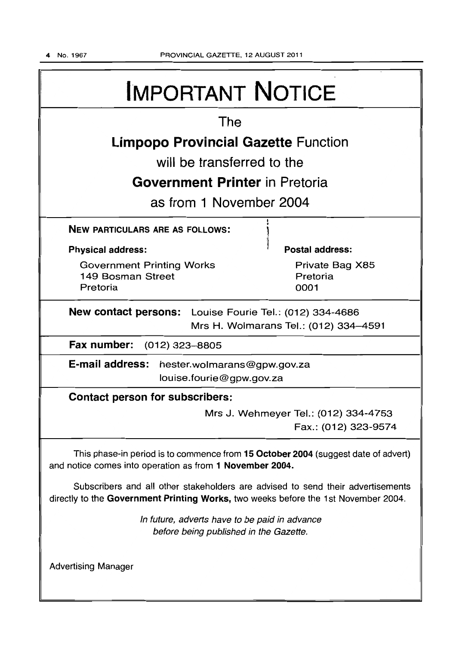| <b>IMPORTANT NOTICE</b>                                                                                                                                               |  |  |
|-----------------------------------------------------------------------------------------------------------------------------------------------------------------------|--|--|
| The                                                                                                                                                                   |  |  |
| <b>Limpopo Provincial Gazette Function</b>                                                                                                                            |  |  |
| will be transferred to the                                                                                                                                            |  |  |
| <b>Government Printer</b> in Pretoria                                                                                                                                 |  |  |
| as from 1 November 2004                                                                                                                                               |  |  |
| <b>NEW PARTICULARS ARE AS FOLLOWS:</b>                                                                                                                                |  |  |
| <b>Physical address:</b><br>Postal address:                                                                                                                           |  |  |
| <b>Government Printing Works</b><br>Private Bag X85<br>149 Bosman Street<br>Pretoria<br>Pretoria<br>0001                                                              |  |  |
| New contact persons: Louise Fourie Tel.: (012) 334-4686<br>Mrs H. Wolmarans Tel.: (012) 334-4591                                                                      |  |  |
| Fax number:<br>(012) 323–8805                                                                                                                                         |  |  |
| E-mail address:<br>hester.wolmarans@gpw.gov.za<br>louise.fourie@gpw.gov.za                                                                                            |  |  |
| <b>Contact person for subscribers:</b>                                                                                                                                |  |  |
| Mrs J. Wehmeyer Tel.: (012) 334-4753<br>Fax.: (012) 323-9574                                                                                                          |  |  |
| This phase-in period is to commence from 15 October 2004 (suggest date of advert)<br>and notice comes into operation as from 1 November 2004.                         |  |  |
| Subscribers and all other stakeholders are advised to send their advertisements<br>directly to the Government Printing Works, two weeks before the 1st November 2004. |  |  |
| In future, adverts have to be paid in advance<br>before being published in the Gazette.                                                                               |  |  |
| <b>Advertising Manager</b>                                                                                                                                            |  |  |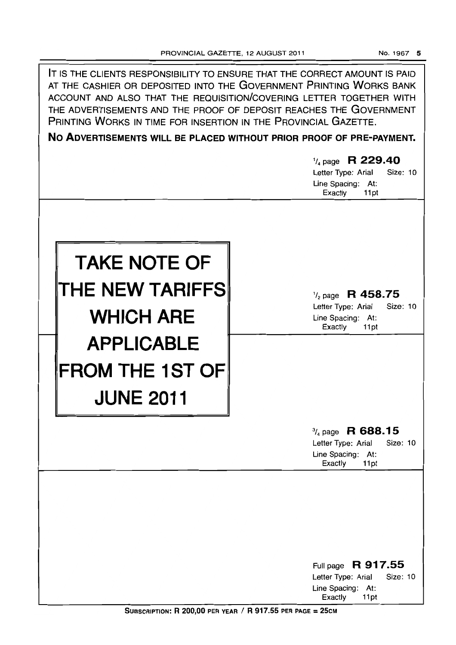| IT IS THE CLIENTS RESPONSIBILITY TO ENSURE THAT THE CORRECT AMOUNT IS PAID<br>AT THE CASHIER OR DEPOSITED INTO THE GOVERNMENT PRINTING WORKS BANK<br>ACCOUNT AND ALSO THAT THE REQUISITION/COVERING LETTER TOGETHER WITH<br>THE ADVERTISEMENTS AND THE PROOF OF DEPOSIT REACHES THE GOVERNMENT<br>PRINTING WORKS IN TIME FOR INSERTION IN THE PROVINCIAL GAZETTE.<br>NO ADVERTISEMENTS WILL BE PLACED WITHOUT PRIOR PROOF OF PRE-PAYMENT.<br>$\frac{1}{4}$ page R 229.40<br>Size: 10<br>Letter Type: Arial |                                                                                                       |
|------------------------------------------------------------------------------------------------------------------------------------------------------------------------------------------------------------------------------------------------------------------------------------------------------------------------------------------------------------------------------------------------------------------------------------------------------------------------------------------------------------|-------------------------------------------------------------------------------------------------------|
|                                                                                                                                                                                                                                                                                                                                                                                                                                                                                                            | Line Spacing: At:<br>Exactly<br>11pt                                                                  |
| <b>TAKE NOTE OF</b><br>THE NEW TARIFFS<br><b>WHICH ARE</b>                                                                                                                                                                                                                                                                                                                                                                                                                                                 | $\frac{1}{2}$ page R 458.75<br>Letter Type: Arial<br>Size: 10<br>Line Spacing: At:<br>Exactly<br>11pt |
| <b>APPLICABLE</b><br><b>FROM THE 1ST OF</b><br><b>JUNE 2011</b>                                                                                                                                                                                                                                                                                                                                                                                                                                            |                                                                                                       |
|                                                                                                                                                                                                                                                                                                                                                                                                                                                                                                            | $\frac{3}{4}$ page R 688.15<br>Letter Type: Arial<br>Size: 10<br>Line Spacing: At:<br>Exactly<br>11pt |
|                                                                                                                                                                                                                                                                                                                                                                                                                                                                                                            | Full page R 917.55<br>Size: 10<br>Letter Type: Arial<br>Line Spacing: At:<br>Exactly<br>11pt          |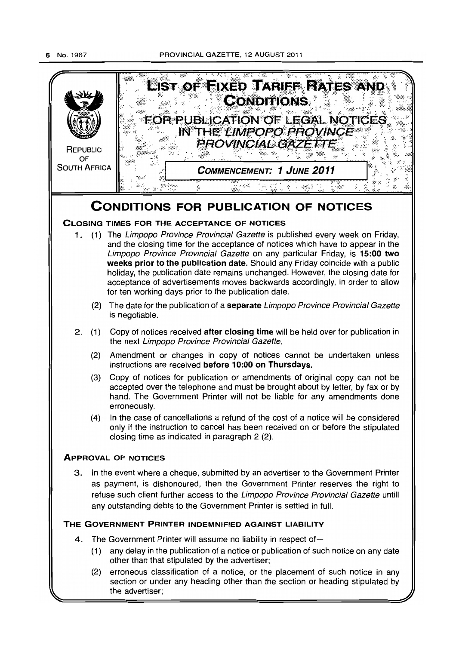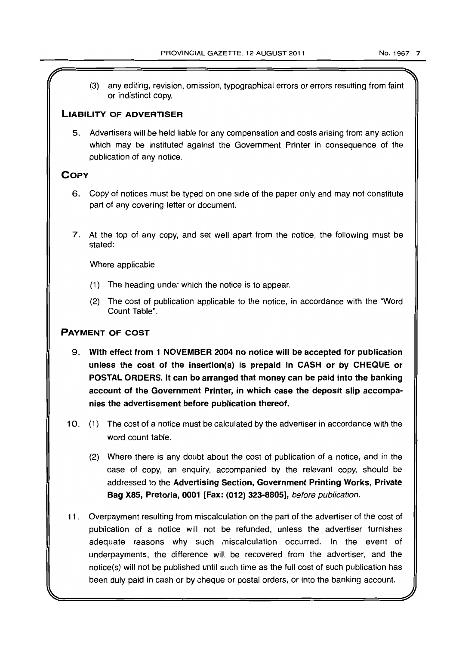(3) any editing, revision, omission, typographical errors or errors resulting from faint or indistinct copy.

# LIABILITY OF ADVERTISER

5. Advertisers will be held liable for any compensation and costs arising from any action which may be instituted against the Government Printer in consequence of the publication of any notice.

# **COPY**

- 6. Copy of notices must be typed on one side of the paper only and may not constitute part of any covering letter or document.
- 7. At the top of any copy, and set well apart from the notice, the following must be stated:

Where applicable

- (1) The heading under which the notice is to appear.
- (2) The cost of publication applicable to the notice, in accordance with the "Word Count Table".

# PAYMENT OF COST

- 9. With effect from 1 NOVEMBER 2004 no notice will be accepted for publication unless the cost of the insertion(s) is prepaid in CASH or by CHEQUE or POSTAL ORDERS. It can be arranged that money can be paid into the banking account of the Government Printer, in which case the deposit slip accompanies the advertisement before publication thereof.
- 10. (1) The cost of a notice must be calculated by the advertiser in accordance with the word count table.
	- (2) Where there is any doubt about the cost of publication of a notice, and in the case of copy, an enquiry, accompanied by the relevant copy, should be addressed to the Advertising Section, Government Printing Works, Private Bag X85, Pretoria, 0001 [Fax: (012) 323-8805], before publication.
- 11. Overpayment resulting from miscalculation on the part of the advertiser of the cost of publication of a notice will not be refunded, unless the advertiser furnishes adequate reasons why such miscalculation occurred. In the event of underpayments, the difference will be recovered from the advertiser, and the notice(s) will not be published until such time as the full cost of such publication has been duly paid in cash or by cheque or postal orders, or into the banking account.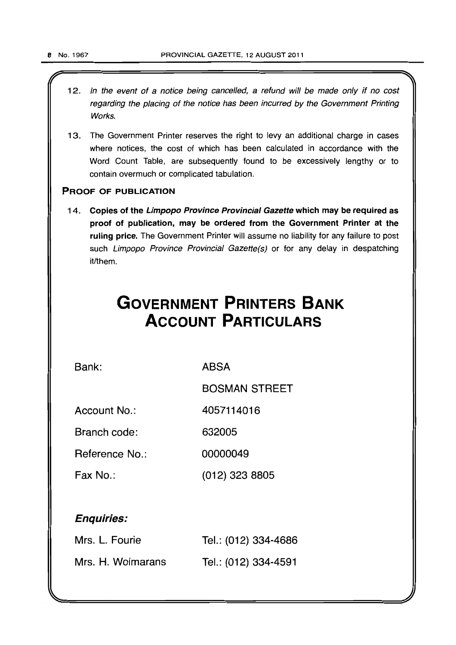- 1 2. In the event of a notice being cancelled, a refund will be made only if no cost regarding the placing of the notice has been incurred by the Government Printing Works.
- 13. The Government Printer reserves the right to levy an additional charge in cases where notices, the cost of which has been calculated in accordance with the Word Count Table, are subsequently found to be excessively lengthy or to contain overmuch or complicated tabulation.

# PROOF OF PUBLICATION

14. Copies of the Limpopo Province Provincial Gazette which may be required as proof of publication, may be ordered from the Government Printer at the ruling price. The Government Printer will assume no liability for any failure to post such Limpopo Province Provincial Gazette(s) or for any delay in despatching it/them.

# **GOVERNMENT PRINTERS BANK ACCOUNT PARTICULARS**

Bank:

ABSA

BOSMAN STREET

Account No.: 4057114016

Branch code: 632005

Reference No.: 00000049

Fax No.: (012) 323 8805

# Enquiries:

| Mrs. L. Fourie    | Tel.: (012) 334-4686 |
|-------------------|----------------------|
| Mrs. H. Wolmarans | Tel.: (012) 334-4591 |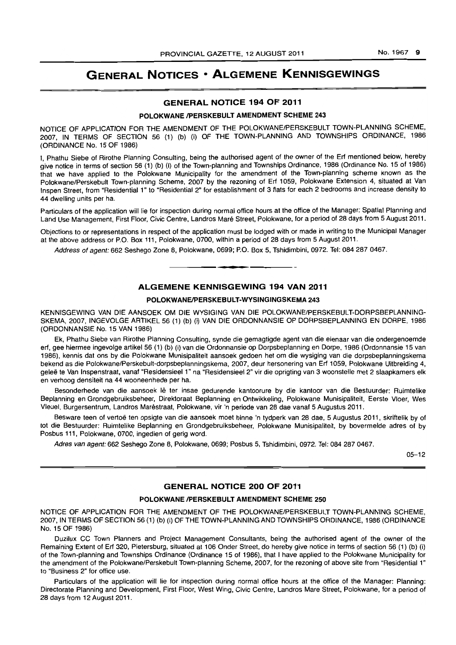# **GENERAL NOTICES • ALGEMENE KENNISGEWINGS**

# GENERAL NOTICE 194 OF 2011

### POLOKWANE /PERSKEBULT AMENDMENT SCHEME 243

NOTICE OF APPLICATION FOR THE AMENDMENT OF THE POLOKWANE/PERSKEBULT TOWN-PLANNING SCHEME. 2007, IN TERMS OF SECTION 56 (1) (b) (i) OF THE TOWN-PLANNING AND TOWNSHIPS ORDINANCE, 1986 (ORDINANCE No. 15 OF 1986)

I. Phathu Siebe of Rirothe Planning Consulting. being the authorised agent of the owner of the Erf mentioned below, hereby give notice in terms of section 56 (1) (b) (i) of the Town-planning and Townships Ordinance, 1986 (Ordinance No. 15 of 1986) that we have applied to the Polokwane Municipality for the amendment of the Town-planning scheme known as the Polokwane/Perskebult Town-planning Scheme. 2007 by the rezoning of Erf 1059, Polokwane Extension 4, situated at Van Inspen Street, from "Residential 1" to "Residential 2" for establishment of 3 flats for each 2 bedrooms and increase density to 44 dwelling units per ha.

Particulars of the application will lie for inspection during normal office hours at the office of the Manager: Spatial Planning and Land Use Management, First Floor, Civic Centre, Landros Mare Street, Polokwane, for a period of 28 days from 5 August 2011.

Objections to or representations in respect of the application must be lodged with or made in writing to the Municipal Manager at the above address or P.O. Box 111, Polokwane, 0700, within a period of 28 days from 5 August 2011.

Address of agent: 662 Seshego Zone 8, Polokwane, 0699; P.O. Box 5, Tshidimbini, 0972. Tel: 084 287 0467.

### ALGEMENE KENNISGEWING 194 VAN 2011

I **\_ •** 

### POLOKWANE/PERSKEBULT-WYSINGINGSKEMA 243

KENNISGEWING VAN DIE AANSOEK OM DIE WYSIGING VAN DIE POLOKWANE/PERSKEBULT-DORPSBEPLANNING-SKEMA, 2007, INGEVOLGE ARTIKEL 56 (1) (b) (i) VAN DIE ORDONNANSIE OP DORPSBEPLANNING EN DORPE, 1986 (ORDONNANSIE No. 15 VAN 1986)

Ek, Phathu Siebe van Rirothe Planning Consulting, synde die gemagtigde agent van die eienaar van die ondergenoemde erf, gee hiermee ingevolge artikel56 (1) (b) (i) van die Ordonnansie op Dorpsbeplanning en Dorpe, 1986 (Ordonnansie 15 van 1986), kennis dat ons by die Polokwane Munisipaliteit aansoek gedoen het om die wysiging van die dorpsbeplanningskema bekend as die Polokwane/Perskebult-dorpsbeplanningskema, 2007, deur hersonering van Erf 1059, Polokwane Uitbreiding 4, geleë te Van Inspenstraat, vanaf "Residensieel 1" na "Residensieel 2" vir die oprigting van 3 woonstelle met 2 slaapkamers elk en verhoog densiteit na 44 wooneenhede per ha.

Besonderhede van die aansoek lê ter insae gedurende kantoorure by die kantoor van die Bestuurder: Ruimtelike Beplanning en Grondgebruiksbeheer, Direktoraat Beplanning en Ontwikkeling. Polokwane Munisipaliteit, Eerste Vloer, Wes Vleuel, Burgersentrum, Landros Marestraat. Polokwane, vir 'n periode van 28 dae vanaf 5 Augustus 2011.

Besware teen of vertoë ten opsigte van die aansoek moet binne 'n tydperk van 28 dae, 5 Augustus 2011, skriftelik by of tot die Bestuurder: Ruimtelike Beplanning en Grondgebruiksbeheer, Polokwane Munisipalileil, by bovermelde adres of by Posbus 111, Polokwane, 0700, ingedien of gerig word.

Adres van agent: 662 Seshego Zone 8, Polokwane, 0699; Posbus 5, Tshidimbini, 0972. Tel: 084 287 0467.

05-12

### GENERAL NOTICE 200 OF 2011

### POLOKWANE /PERSKEBULT AMENDMENT SCHEME 250

NOTICE OF APPLICATION FOR THE AMENDMENT OF THE POLOKWANE/PERSKEBULT TOWN-PLANNING SCHEME, 2007, IN TERMS OF SECTION 56 (1) (b) (i) OF THE TOWN-PLANNING AND TOWNSHIPS ORDINANCE, 1986 (ORDINANCE No. 15 OF 1986)

Duzilux CC Town Planners and Project Management Consultants, being the authorised agent of the owner of the Remaining Extent of Erf 320, Pietersburg, situated at 106 Onder Street, do hereby give notice in terms of section 56 (1) (b) (i) of the Town-planning and Townships Ordinance (Ordinance 15 of 1986), that I have applied to the Polokwane Municipality for the amendment of the Polokwane/Perskebult Town-planning Scheme, 2007, for the rezoning of above site from "Residential 1" to "Business 2" for office use.

Particulars of the application will lie for inspection during normal office hours at the office of the Manager: Planning: Directorate Planning and Development, First Floor, West Wing, Civic Centre, Landros Mare Street, Polokwane, for a period of 28 days from 12 August 2011.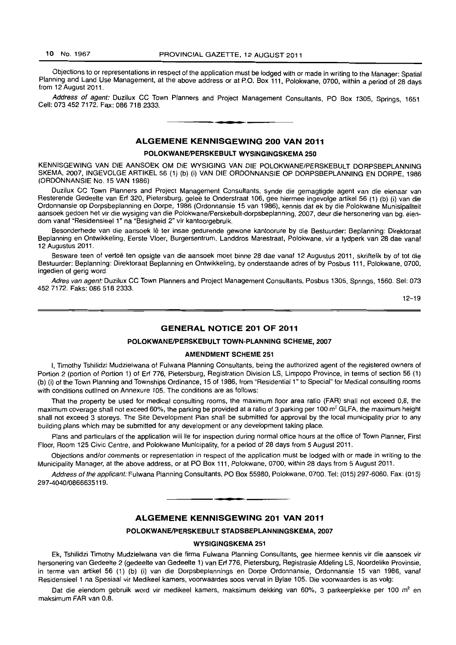Objections 10 or representations in respect of the application must be lodged with or made in writing to the Manager: Spatial Planning and Land Use Management, at the above address or at P.O. Box 111, Polokwane, 0700, within a period of 28 days from 12 August 2011.

Address of agent: Duzilux CC Town Planners and Project Management Consultants, PO Box 1305, Springs, 1651. Cell: 073 452 7172. Fax: 086 718 2333. . **-.** 

# ALGEMENE KENNISGEWING 200 VAN 2011

#### POLOKWANE/PERSKEBULT WYSINGINGSKEMA 250

KENNISGEWING VAN DIE AANSOEK OM DIE WYSIGING VAN DIE POLOKWANE/PERSKEBULT DORPSBEPLANNING SKEMA, 2007, INGEVOLGE ARTIKEL 56 (1) (b) (i) VAN DIE ORDONNANSIE OP DORP8BEPLANNING EN DORPE, 1986 (ORDONNANSIE No. 15 VAN 1986)

Duzilux CC Town Planners and Project Management Consultants, synde die gemagtigde agent van die eienaar van Resterende Gedeelte van Erf 320, Pietersburg, geleë te Onderstraat 106, gee hiermee ingevolge artikel 56 (1) (b) (i) van die Ordonnansie op Dorpsbeplanning en Dorpe, 1986 (Ordonnansie 15 van 1986), kennis dal ek by die Polokwane Munisipaliteit aansoek gedoen het vir die wysiging van die Polokwane/Perskebult-dorpsbeplanning, 2007, deur die hersonering van bg, eiendom vanaf "Residensieel 1" na "Besigheid 2" vir kantoorgebruik.

Besonderhede van die aansoek lê ter insae gedurende gewone kantoorure by die Bestuurder: Beplanning: Direktoraat Beplanning en Ontwikkeling, Eerste Vloer, Burgersentrum, Landdros Marestraat, Polokwane, vir a tydperk van 28 dae vanaf 12 Augustus 2011.

Besware teen of vertoë ten opsigte van die aansoek moet binne 28 dae vanaf 12 Augustus 2011, skriftelik by of tot die Bestuurder: Beplanning: Direktoraat Beplanning en Ontwikkeling, by onderstaande adres of by Posbus 111, Polokwane, 0700, ingedien of gerig word,

Adres van agent: Duzilux CC Town Planners and Project Management Consultants, Posbus 1305, Springs, 1560, Sel: 073 452 7172. Faks: 086 518 2333.

12-19

# GENERAL NOTICE 201 OF 2011

#### POLOKWANE/PERSKEBULT TOWN-PLANNING SCHEME, 2007

#### AMENDMENT SCHEME 251

I, Timothy Tshilidzi Mudzielwana of Fulwana Planning Consultants, being the authorized agent of the registered owners of Portion 2 (portion of Portion 1) of Erf 776, Pietersburg, Registration Division LS, Limpopo Province, in terms of section 56 (1) (b) (i) of the Town Planning and Townships Ordinance, 15 of 1986, from "Residential 1" to Special" for Medical consulting rooms with conditions outlined on Annexure 105. The conditions are as follows:

That the property be used for medical consulting rooms, the maximum floor area ratio (FAR) shall not exceed 0,8, the maximum coverage shall not exceed 60%, the parking be provided at a ratio of 3 parking per 100 m<sup>2</sup> GLFA, the maximum height shall not exceed 3 storeys. The Site Development Plan shall be submitted for approval by the local municipality prior to any building plans which may be submitted for any development or any development taking place.

Plans and particulars of the application will lie for inspection during normal office hours at the office of Town Planner, First Floor, Room 125 Civic Centre, and Polokwane Municipality, for a period of 28 days from 5 August 2011.

Objections andlor comments or representation in respect of the application must be lodged with or made in writing to the Municipality Manager, at the above address, or at PO Box 111, Polokwane, 0700, within 28 days from 5 August 2011.

Address of the applicant: Fulwana Planning Consultants, PO Box 55980, Polokwane, 0700. Tel: (015) 297-6060. Fax: (015) 297-4040/0866635119.

**• •** 

# ALGEMENE KENNISGEWING 201 VAN 2011

#### POLOKWANE/PERSKEBULT STADSBEPLANNINGSKEMA, 2007

#### WYSIGINGSKEMA 251

Ek, Tshilidzi Timothy Mudzielwana van die firma Fulwana Planning Consultants, gee hiermee kennis vir die aansoek vir hersonering van Gedeelte 2 (gedeelte van Gedeelte 1) van Erf 776, Pietersburg, Registrasie Afdeling LS, Noordelike Provinsie, in terme van artikel 56 (1) (b) (i) van die Dorpsbeplannings en Dorpe Ordonnansie, Ordonnansie 15 van 1986, vanaf Residensieel 1 na Spesiaal vir Medikeel kamers, voorwaardes soos verval in Bylae 105. Die voorwaardes is as volg:

Dat die eiendom gebruik word vir medikeel kamers, maksimum dekking van 60%, 3 parkeerplekke per 100 m<sup>2</sup> en maksimum FAR van 0.8.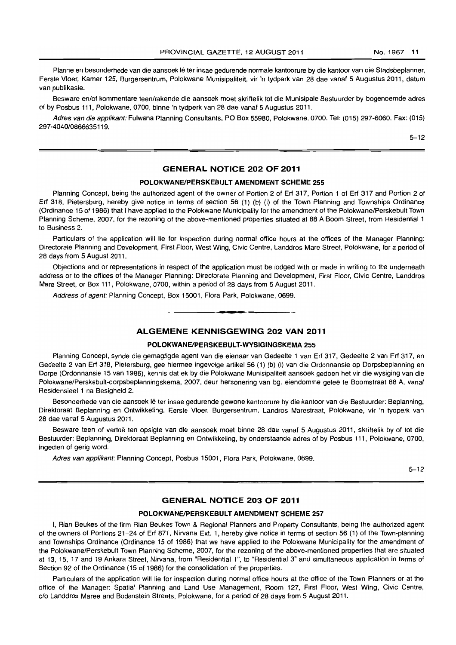Planne en besonderhede van die aansoek lê ter insae gedurende normale kantoorure by die kantoor van die Stadsbeplanner, Eerste Vloer, Kamer 125, Burgersentrum, Polokwane Munisipaliteit, vir 'n tydperk van 28 dae vanaf 5 Augustus 2011, datum van publikasie.

Besware en/of kommentare teen/rakende die aansoek moet skriftelik tot die Munisipale Bestuurder by bogenoemde adres of by Posbus 111, Polokwane, 0700, binne 'n tydperk van 28 dae vanaf 5 Augustus 2011.

Adres van die applikant: Fulwana Planning Consultants, PO Box 55980, Polokwane, 0700. Tel: (015) 297-6060. Fax: (015) 297-4040/0866635119.

5-12

### **GENERAL NOTICE 202 OF 2011**

#### **POLOKWANEIPERSKEBULT AMENDMENT SCHEME** 255

Planning Concept, being the authorized agent of the owner of Portion 2 of Erf 317, Portion 1 of Erf 317 and Portion 2 of Erf 318, Pietersburg, hereby give notice in terms of section 56 (1) (b) (i) of the Town Planning and Townships Ordinance (Ordinance 15 of 1986) that I have applied to the Polokwane Municipality for the amendment of the Polokwane/Perskebult Town Planning Scheme, 2007, for the rezoning of the above-mentioned properties situated at 88 A Boom Street, from Residential 1 to Business 2.

Particulars of the application will lie for inspection during normal office hours at the offices of the Manager Planning: Directorate Planning and Development, First Floor, West Wing, Civic Centre, Landdros Mare Street, Polokwane, for a period of 28 days from 5 August 2011.

Objections and or representations in respect of the application must be lodged with or made in writing to the underneath address or to the offices of the Manager Planning: Directorate Planning and Development, First Floor, Civic Centre, Landdros Mare Street, or Box 111, Polokwane, 0700, within a period of 28 days from 5 August 2011.

Address of agent: Planning Concept, Box 15001, Flora Park, Polokwane, 0699.

#### **ALGEMENE KENNISGEWING 202 VAN 2011**

**•** 

#### **POLOKWANEIPERSKEBULT-WYSIGINGSKEMA** 255

Planning Concept, synde die gemagtigde agent van die eienaar van Gedeelte 1 van Erf 317, Gedeelte 2 van Erf 317, en Gedeelte 2 van Erf 318, Pietersburg, gee hiermee ingevolge artikel 56 (1) (b) (il van die Ordonnansie op Dorpsbeplanning en Dorpe (Ordonnansie 15 van 1986), kennis dat ek by die Polokwane Munisipaliteit aansoek gedoen het vir die wysiging van die Polokwane/Perskebult-dorpsbeplanningskema, 2007, deur hersonering van bg. eiendomme geleë te Boomstraat 88 A, vanaf Residensieel 1 na Besigheid 2.

Besonderhede van die aansoek lê ter insae gedurende gewone kantoorure by die kantoor van die Bestuurder: Beplanning, Direktoraat Beplanning en Ontwikkeling, Eerste Vloer, Burgersentrum, Landros Marestraat, Polokwane, vir 'n tydperk van 28 dae vanaf 5 Augustus 2011.

Besware teen of vertoë ten opsigte van die aansoek moet binne 28 dae vanaf 5 Augustus 2011, skriftelik by of tot die Bestuurder: Beplanning, Direktoraat Beplanning en Ontwikkeling, by onderstaande adres of by Posbus 111, Polokwane, 0700, ingedien of gerig word.

Adres van applikant: Planning Concept. Posbus 15001, Flora Park, Polokwane, 0699.

 $5 - 12$ 

# **GENERAL NOTICE 203 OF 2011**

#### **POLOKWANEIPERSKEBULT AMENDMENT SCHEME** 257

I, Rian Beukes of the firm Rian Beukes Town & Regional Planners and Property Consultants, being the authorized agent of the owners of Portions 21-24 of Erf 871, Nirvana Ext. 1, hereby give notice in terms of section 56 (1) of the Town-planning and Townships Ordinance (Ordinance 15 of 1986) that we have applied to the Polokwane Municipality for the amendment of the Polokwane/Perskebult Town Planning Scheme, 2007, for the rezoning of the above-mentioned properties that are situated at 13, 15, 17 and 19 Ankara Street, Nirvana, from "Residential 1", to "Residential 3" and simultaneous application in terms of Section 92 of the Ordinance (15 of 1986) for the consolidation of the properties.

Particulars of the application will lie for inspection during normal office hours at the office of the Town Planners or at the office of the Manager: Spatial Planning and Land Use Management, Room 127, First Floor, West Wing, Civic Centre, c/o Landdros Maree and Bodenstein Streets, Polokwane, for a period of 28 days from 5 August 2011.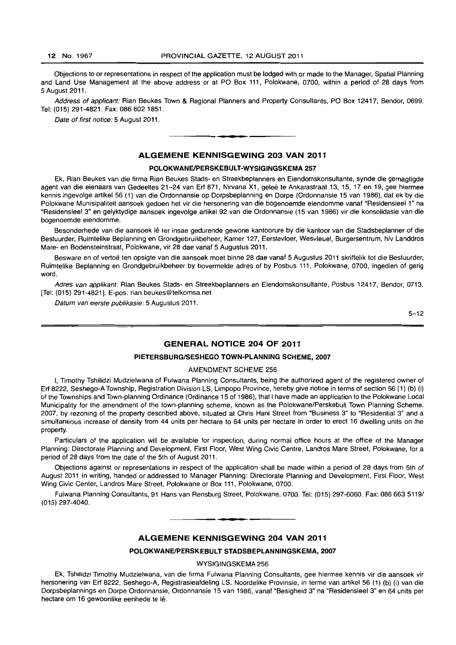Objections to or representations in respect of the application must be lodged with or made to the Manager, Spatial Planning and Land Use Management at the above address or at PO Box 111, Polokwane, 0700, within a period of 28 days from 5 August 2011.

Address of applicant: Rian Beukes Town & Regional Planners and Property Consultants, PO Box 12417, Bendor, 0699. Tel: (015) 291-4821. Fax: 086 602 1851.

Date of first notice: 5 August 2011.

### ALGEMENE KENNISGEWING 203 VAN 2011

**-.** 

#### POLOKWANE/PERSKEBULT-WYSIGINGSKEMA 257

Ek, Rian Beukes van die firma Rian Beukes Stads- en Streekbeplanners en Eiendomskonsultante. synde die gemagtigde agent van die eienaars van Gedeeltes 21-24 van Erf 871, Nirvana X1, gelee te Ankarastraat 13,15,17 en 19, gee hiermee kennis ingevolge artikel 56 (1) van die Ordonnansie op Dorpsbeplanning en Dorpe (Ordonnansie 15 van 1986), dat ek by die Polokwane Munisipaliteit aansoek gedoen het vir die hersonering van die bogenoemde eiendomme vanaf "ResidensieeI 1" na "Residensieel 3" en gelyktydige aansoek ingevolge artikel 92 van die Ordonnansie (15 van 1986) vir die konsolidasie van die bogenoemde eiendomme.

Besonderhede van die aansoek lê ter insae gedurende gewone kantoorure by die kantoor van die Stadsbeplanner of die Bestuurder, Ruimtelike Beplanning en Grondgebruikbeheer, Kamer 127, Eerstevloer, Wesvleuel, Burgersentrum, h/v Landdros Mare- en Bodensteinstraat, Polokwane, vir 28 dae vanaf 5 Augustus 2011.

Besware en of vertoë ten opsigte van die aansoek moet binne 28 dae vanaf 5 Augustus 2011 skriftelik tot die Bestuurder. Ruimtelike Beplanning en Grondgebruikbeheer by bovermelde adres of by Posbus 111, Polokwane, 0700, ingedien of gerig word.

Adres van applikant: Rian Beukes Stads- en Streekbeplanners en Eiendomskonsultante. Posbus 12417. Bendor, 0713. [Tel: (015) 291-4821]. E-pos: rian.beukes@telkomsa.net

Datum van eerste publikasie: 5 Augustus 2011.

 $5 - 12$ 

### GENERAL NOTICE 204 OF 2011

#### PIETERSBURGISESHEGO TOWN-PLANNING SCHEME, 2007

#### AMENDMENT SCHEME 256

I, Timothy Tshilidzi Mudzielwana of Fulwana Planning Consultants, being the authorized agent of the registered owner of Erf 8222. Seshego-A Township, Registration Division LS, Limpopo Province, hereby give notice in terms of section 56 (1) (b) (i) of the Townships and Town-planning Ordinance (Ordinance 15 of 1986), that I have made an application to the Polokwane Local Municipality for the amendment of the town-planning scheme, known as the Polokwane/Perskebult Town Planning Scheme, 2007, by rezoning of the property described above, situated at Chris Hani Street from "Business 3" to "Residential 3" and a simultaneous increase of density from 44 units per hectare to 64 units per hectare in order to erect 16 dwelling units on the property.

Particulars of the application will be available for inspection, during normal office hours at the office of the Manager Planning: Directorate Planning and Development, First Floor, West Wing Civic Centre, Landros Mare Street, Polokwane, for a period of 28 days from the date of the 5th of August 2011.

Objections against or representations in respect of the application shall be made within a period of 28 days from 5th of August 2011 in writing, handed or addressed to Manager Planning: Directorate Planning and Development, First Floor, West Wing Civic Center, Landros Mare Street, Polokwane or Box 111, Polokwane, 0700.

Fulwana Planning Consultants, 91 Hans van Rensburg Street, Polokwane, 0700. Tel: (015) 297-6060. Fax: 08666351191 (015) 297-4040. . **- .** 

### ALGEMENE KENNISGEWING 204 VAN 2011

#### POLOKWANE/PERSKEBULT STADSBEPLANNINGSKEMA, 2007

WYSIGINGSKEMA 256

Ek, Tshilidzi Timothy Mudzielwana, van die firma Fulwana Planning Consultants, gee hiermee kennis vir die aansoek vir hersonering van Erf 8222, Seshego-A, Registrasieafdeling LS, Noordelike Provinsie, in terme van artikel 56 (1) (b) (i) van die Dorpsbeplannings en Dorpe Ordonnansie, Ordonnansie 15 van 1986, vanaf "Besigheid 3" na "Residensieel 3" en 64 units per hectare om 16 gewoonlike eenhede te lê.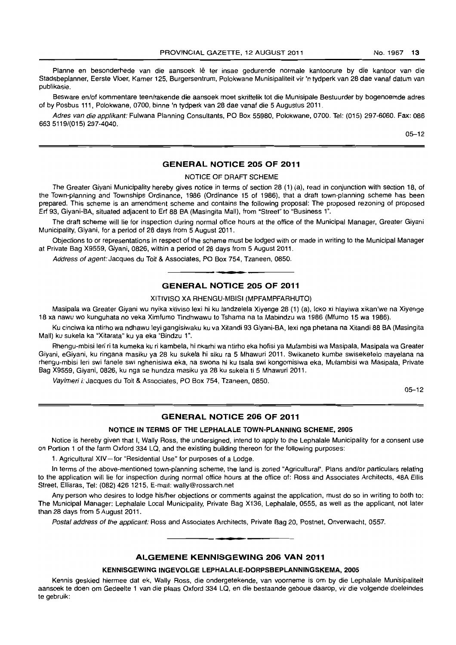Planne en besonderhede van die aansoek lê ter insae gedurende normale kantoorure by die kantoor van die Stadsbeplanner, Eerste Vloer, Kamer 125, Burgersentrum, Polokwane Munisipaliteit vir 'n tydperk van 28 dae vanaf datum van publikasie.

Besware en/of kommentare teen/rakende die aansoek moet skriftelik tot die Munisipale Bestuurder by bogenoemde adres of by Posbus 111, Polokwane, 0700, binne 'n tydperk van 28 dae vanaf die 5 Augustus 2011.

Adres van die applikant: Fulwana Planning Consultants, PO Box 55980, Polokwane, 0700. Tel: (015) 297-6060. Fax: 086 6635119/(015) 297-4040.

05-12

# GENERAL NOTICE 205 OF 2011

NOTICE OF DRAFT SCHEME

The Greater Giyani MuniCipality hereby gives notice in terms of section 28 (1) (a), read in conjunction with section 18, of the Town-planning and Townships Ordinance, 1986 (Ordinance 15 of 1986), that a draft town-planning scheme has been prepared. This scheme is an amendment scheme and contains the following proposal: The proposed rezoning of proposed Erf 93, Giyani-BA, situated adjacent to Erf 88 BA (Masingita Mall), from "Street" to "Business 1".

The draft scheme will lie for inspection during normal office hours at the office of the Municipal Manager, Greater Giyani Municipality, Giyani, for a period of 28 days from 5 August 2011.

Objections to or representations in respect of the scheme must be lodged with or made in writing to the Municipal Manager at Private Bag X9559, Giyani, 0826, within a period of 28 days from 5 August 2011.

Address of agent: Jacques du Toit & Associates, PO Box 754, Tzaneen, 0850.

### GENERAL NOTICE 205 OF 2011

**• •** 

#### XITIVISO XA RHENGU-MBISI (MPFAMPFARHUTO)

Masipala wa Greater Giyani wu nyika xitiviso lexi hi ku landzelela Xiyenge 28 (1) (a), loko xi hlayiwa xikan'we na Xiyenge 18 xa nawu wo kunguhata no veka Ximfumo lindhwawu to Tshama na ta Mabindzu wa 1986 (Mfumo 15 wa 1986).

Ku cinciwa ka ntirho wa ndhawu leyi gangisiwaku ku va Xitandi 93 Giyani-BA, lexi nga phetana na Xitandi 88 BA (Masingita Mall) ku sukela ka "Xitarata" ku ya eka "Bindzu 1".

Rhengu-mbisi leri ri ta kumeka ku ri kambela, hi nkarhi wa ntirho eka hofisi ya Mufambisi wa Masipala, Masipala wa Greater Giyani, eGiyani, ku ringana masiku ya 28 ku sukela hi siku ra 5 Mhawuri 2011. Swikaneto kumbe swiseketelo mayelana na rhengu-mbisi leri swi fanele swi nghenisiwa eka, na swona hi ku tsala swi kongomisiwa eka, Mufambisi wa Masipala, Private Bag X9559, Giyani, 0826, ku nga se hundza masiku ya 28 ku sukela ti 5 Mhawuri 2011.

Vayimeri i: Jacques du Toit & Associates, PO Box 754, Tzaneen, 0850.

05-12

### GENERAL NOTICE 206 OF 2011

#### NOTICE IN TERMS OF THE LEPHALALE TOWN-PLANNING SCHEME, 2005

Notice is hereby given that I, Wally Ross, the undersigned, intend to apply to the Lephalale Municipality for a consent use on Portion 1 of the farm Oxford 334 LQ, and the existing building thereon for the following purposes:

1. Agricultural XIV-for "Residential Use" for purposes of a Lodge.

In terms of the above-mentioned town-planning scheme, the land is zoned "Agricultural". Plans andlor particulars relating to the application will lie for inspection during normal office hours at the office of: Ross and Associates Architects, 48A Ellis Street, Ellisras, Tel: (082) 426 1215, E-mail: wally@rossarch.net

Any person who desires to lodge his/her objections or comments against the application, must do so in writing to both to: The Municipal Manager: Lephalale Local Municipality, Private Bag X136, Lephalale, 0555, as well as the applicant, not later than 28 days from 5 August 2011.

Postal address of the applicant: Ross and Associates Architects, Private Bag 20, Postnet, Onverwacht, 0557.

### ALGEMENE KENNISGEWING 206 VAN 2011

**• •** 

#### KENNISGEWING INGEVOLGE LEPHALALE-DORPSBEPLANNINGSKEMA, 2005

Kennis geskied hiermee dat ek, Wally Ross, die ondergetekende, van voorneme is om by die Lephalale Munisipaliteit aansoek te doen om Gedeelte 1 van die plaas Oxford 334 LQ, en die bestaande geboue daarop, vir die volgende doeleindes te gebruik: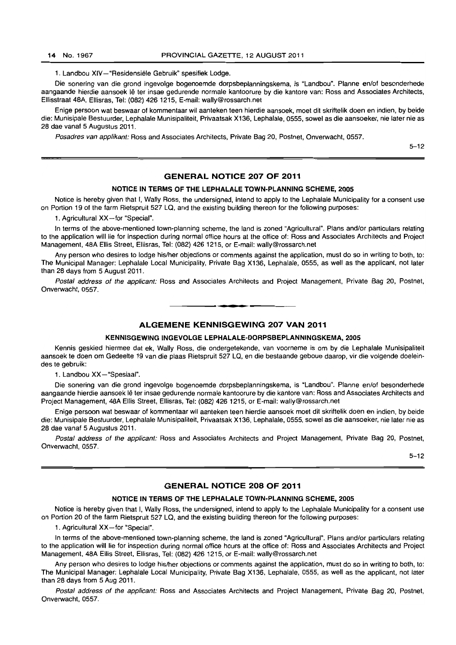1. Landbou XIV-"Residensiële Gebruik" spesifiek Lodge.

Die sonering van die grond ingevolge bogenoemde dorpsbeplanningskema, is "Landbou". Planne en/of besonderhede aangaande hierdie aansoek lê ter insae gedurende normale kantoorure by die kantore van: Ross and Associates Architects, Ellisstraat 48A, Ellisras, Tel: (082) 4261215, E-mail: wally@rossarch.net

Enige persoon wat beswaar of kommentaar wil aanteken teen hierdie aansoek, moet dit skriftelik doen en indien, by beide die: Munisipale Bestuurder, Lephalale Munisipaliteit, Privaatsak X136, Lephalale. 0555, sowel as die aansoeker, nie later nie as 28 dae vanaf 5 Augustus 2011 .

Posadres van applikant: Ross and Associates Architects, Private Bag 20, Postnet, Onverwacht, 0557.

5-12

### GENERAL NOTICE 207 OF 2011

### NOTICE IN TERMS OF THE LEPHALALE TOWN-PLANNING SCHEME, 2005

Notice is hereby given that I, Wally Ross, the undersigned, intend to apply to the Lephalale Municipality for a consent use on Portion 19 of the farm Rietspruit 527 LQ, and the existing building thereon for the following purposes:

1. Agricultural XX-for "Special".

In terms of the above-mentioned town-planning scheme, the land is zoned "Agricultural". Plans and/or particulars relating to the application will lie for inspection during normal office hours at the office of: Ross and Associates Architects and Project Management, 48A Ellis Street, Ellisras, Tel: (082) 426 1215, or E-mail: wally@rossarch.net

Any person who desires to lodge his/her objections or comments against the application, must do so in writing to both, to: The Municipal Manager: Lephalale Local Municipality, Private Bag X136, Lephalale, 0555, as well as the applicant, not later than 28 days from 5 August 2011.

Postal address of the applicant: Ross and Associates Architects and Project Management, Private Bag 20, Postnet, Onverwacht, 0557. . **-.** 

ALGEMENE KENNISGEWING 207 VAN 2011

#### KENNISGEWING INGEVOLGE LEPHALALE-DORPSBEPLANNINGSKEMA, 2005

Kennis geskied hiermee dat ek, Wally Ross. die ondergetekende, van voorneme is om by die Lephalale Munisipaliteit aansoek te doen om Gedeelte 19 van die plaas Rietspruit 527 LQ, en die bestaande geboue daarop, vir die volgende doeleindes te gebruik:

1. Landbou XX-"Spesiaal".

Die sonering van die grond ingevolge bogenoemde dorpsbeplanningskema, is "Landbou". Planne en/of besonderhede aangaande hierdie aansoek lê ter insae gedurende normale kantoorure by die kantore van: Ross and Associates Architects and Project Management, 48A Ellis Street. Ellisras, Tel: (082) 426 1215. or E-mail: wally@rossarch.net

Enige persoon wat beswaar of kommentaar wil aanteken teen hierdie aansoek moet dit skriftelik doen en indien, by beide die: Munisipale Bestuurder, Lephalale Munisipaliteit, Privaatsak X136, Lephalale, 0555, sowel as die aansoeker, nie later nie as 28 dae vanaf 5 Augustus 2011 .

Postal address of the applicant: Ross and Associates Architects and Project Management, Private Bag 20, Postnet, Onverwacht, 0557.

5-12

### GENERAL NOTICE 208 OF 2011

#### NOTICE IN TERMS OF THE LEPHALALE TOWN-PLANNING SCHEME, 2005

Notice is hereby given that I. Wally Ross, the undersigned, intend to apply to the Lephalale Municipality for a consent use on Portion 20 of the farm Rietspruit 527 LQ, and the existing building thereon for the following purposes:

1. Agricultural XX-for "Special".

In terms of the above-mentioned town-planning scheme, the land is zoned "Agricultural". Plans and/or particulars relating to the application will lie for inspection during normal office hours at the office of: Ross and Associates Architects and Project Management, 48A Ellis Street, Ellisras, Tel: (082) 426 1215, or E-mail: wally@rossarch.net

Any person who desires to lodge his/her objections or comments against the application, must do so in writing to both, to: The Municipal Manager: Lephalale Local Municipality, Private Bag X136, Lephalale, 0555, as well as the applicant, not later than 28 days from 5 Aug 2011.

Postal address of the applicant: Ross and Associates Architects and Project Management, Private Bag 20, Postnet, Onverwacht, 0557.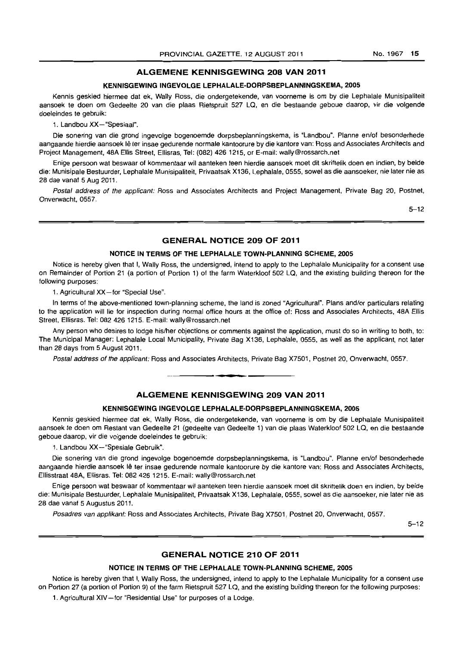#### **ALGEMENE KENNISGEWING 208 VAN 2011**

# **KENNISGEWING INGEVOlGE lEPHAlAlE-DORPSBEPlANNINGSKEMA, 2005**

Kennis geskied hiermee dat ek, Wally Ross, die ondergetekende, van voorneme is om by die Lephalale Munisipaliteit aansoek te doen om Gedeelte 20 van die plaas Rietspruit 527 LQ, en die bestaande geboue daarop, vir die volgende doeleindes te gebruik:

1. Landbou XX-"Spesiaal".

Die sonering van die grond ingevolge bogenoemde dorpsbeplanningskema, is "Landbou". Planne en/of besonderhede aangaande hierdie aansoek lê ter insae gedurende normale kantoorure by die kantore van: Ross and Associates Architects and Project Management, 48A Ellis Street, Ellisras, Tel: (082) 426 1215, or E-mail: wally@rossarch.net

Enige persoon wat beswaar of kommentaar wil aanteken teen hierdie aansoek moet dil skriftelik doen en indien, by beide die: Munisipale Besluurder, Lephalale Munisipaliteit, Privaatsak X136, Lephalale, 0555, sowel as die aansoeker, oie later nie as 28 dae vanaf 5 Aug 2011 .

Postal address of the applicant: Ross and Associates Architects and Project Management, Private Bag 20, Postnet, Onverwacht, 0557.

5-12

# **GENERAL NOTICE 209 OF 2011**

#### **NOTICE IN TERMS OF THE LEPHAlALE TOWN-PLANNING SCHEME, 2005**

Notice is hereby given that I, Wally Ross, the undersigned, intend to apply to the Lephalale Municipality for a consent use on Remainder of Portion 21 (a portion of Portion 1) of the farm Waterkloof 502 LQ, and the existing building thereon for the following purposes:

1. Agricultural XX-for "Special Use".

In terms of the above-mentioned town-planning scheme, the land is zoned "Agricultural". Plans and/or particulars relating to the application will lie for inspection during normal office hours at the office of: Ross and Associates Architects, 48A Ellis Street, Ellisras. Tel: 082 426 1215. E-mail: wally@rossarch.net

Any person who desires to lodge his/her objections or comments against the application, must do so in writing to both, to: The Municipal Manager: Lephalale Local Municipality, Private Bag X136, Lephalale, 0555, as well as the applicant. not later than 28 days from 5 August 2011.

Postal address of the applicant: Ross and Associates Architects, Private Bag X7501, Postnet 20, Onverwacht, 0557.

I **• £** 

# **ALGEMENE KENNISGEWING 209 VAN 2011**

#### **KENNISGEWING INGEVOLGE LEPHALALE-DORPSBEPLANNINGSKEMA, 2005**

Kennis geskied hiermee dat ek, Wally Ross, die ondergetekende, van voorneme is om by die Lephalale Munisipaliteit aansoek te doen om Restant van Gedeelte 21 (gedeelte van Gedeelte 1) van die plaas Waterkloof 502 LQ, en die bestaande geboue daarop, vir die volgende doeleindes te gebruik:

1. Landbou XX - "Spesiale Gebruik".

Die sonering van die grond ingevolge bogenoemde dorpsbeplanningskema, is "Landbou". Planne en/of besonderhede aangaande hierdie aansoek lê ter insae gedurende normale kantoorure by die kantore van: Ross and Associates Architects, Ellisstraat 48A, Ellisras. Tel: 082 4261215. E-mail: wally@rossarch.net

Enige persoon wat beswaar of kommentaar wi! aanteken teen hierdie aansoek moet dit skriftelik doen en indien, by beide die: Munisipale Bestuurder, Lephalale Munisipaliteit, Privaatsak X136, Lephalale, 0555, sowel as die aansoeker, nie later nie as 28 dae vanat 5 Augustus 2011.

Posadres van applikant: Ross and Associates Architects, Private Bag X7501, Postnet 20, Onverwacht, 0557.

5-12

### **GENERAL NOTICE 210 OF 2011**

#### **NOTICE IN TERMS OF THE LEPHALALE TOWN-PLANNING SCHEME, 2005**

Notice is hereby given that I, Wally Ross, the undersigned, intend to apply to the Lephalale Municipality for a consent use on Portion 27 (a portion of Portion 9) of the farm Rietspruit 527 LQ, and the existing building thereon for the following purposes:

1. Agricultural XIV-for "Residential Use" for purposes of a Lodge.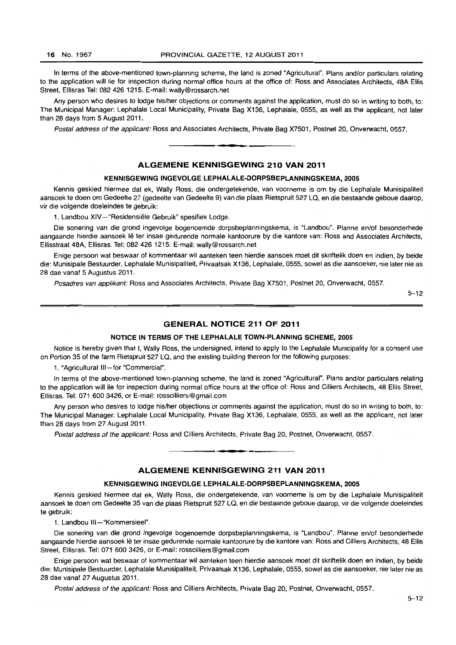In terms of the above-mentioned town-planning scheme, the land is zoned "Agricultural". Plans and/or particulars relating to the application will lie for inspection during normal office hours at the office of: Ross and Associates Architects, 48A Ellis Street, Ellisras Tel: 082 426 1215. E-mail: wally@rossarch.net

Any person who desires to lodge his/her objections or comments against the application, must do so in writing to both, to: The Municipal Manager: Lephalale Local Municipality, Private Bag X136, Lephalale, 0555, as well as the applicant, not later than 28 days from 5 August 2011.

Postal address of the applicant: Ross and Associates Architects, Private Bag X7501, Postnet 20, Onverwacht, 0557. . **-.** 

# ALGEMENE KENNISGEWING 210 VAN 2011

#### KENNISGEWING INGEVOlGE lEPHALAlE-DORPSBEPLANNINGSKEMA, 2005

Kennis geskied hiermee dat ek, Wally Ross, die ondergetekende, van voorneme is om by die Lephalale Munisipaliteit aansoek te doen om Gedeelte 27 (gedeelte van Gedeelte 9) van die plaas Rietspruit 527 LQ, en die bestaande geboue daarop, vir die volgende doeleindes te gebruik:

1. Landbou XIV-"Residensiële Gebruik" spesifiek Lodge.

Die sonering van die grond ingevolge bogenoemde dorpsbeplanningskema, is "Landbou". Planne en/of besonderhede aangaande hierdie aansoek lê ter insae gedurende normale kantoorure by die kantore van: Ross and Associates Architects, Ellisstraat 48A, Ellisras. Tel: 082 426 1215. E-mail: wally@rossarch.net

Enige persoon wat beswaar of kommentaar wil aanteken teen hierdie aansoek moet dit skriftelik doen en indien, by beide die: Munisipale Bestuurder, Lephalale Munisipaliteit, Privaatsak X136, Lephalale, 0555, sowel as die aansoeker, nie later nie as 28 dae vanaf 5 Augustus 2011.

Posadres van applikant: Ross and Associates Architects, Private Bag X7501, Postnet 20, Onverwacht, 0557.

5-12

### GENERAL NOTICE 211 OF 2011

#### NOTICE IN TERMS OF THE lEPHAlALE TOWN-PLANNING SCHEME, 2005

Notice is hereby given that I, Wally Ross, the undersigned, intend to apply to the Lephalale Municipality for a consent use on Portion 35 of the farm Rietspruit 527 LQ, and the existing building thereon for the following purposes:

1. "Agricultural III-for "Commercial".

In terms of the above-mentioned town-planning scheme, the land is zoned "Agricultural". Plans and/or particulars relating to the application will lie for inspection during normal office hours at the office of: Ross and Cilliers Architects, 48 Ellis Street, Ellisras. Tel: 071 600 3426, or E-mail: rosscilliers@gmail.com

Any person who desires to lodge his/her objections or comments against the application, must do so in writing to both, to: The Municipal Manager: lephalale Local Municipality, Private Bag X136, Lephalale, 0555, as well as the applicant, not later than 28 days from 27 August 2011.

Postal address of the applicant: Ross and Cilliers Architects, Private Bag 20, Postnet, Onverwacht, 0557. . **-.** 

### ALGEMENE KENNISGEWING 211 VAN 2011

#### KENNISGEWING INGEVOLGE LEPHAlAlE-DORPSBEPLANNINGSKEMA, 2005

Kennis geskied hiermee dat ek, Wally Ross, die ondergetekende, van voorneme is om by die Lephalale Munisipaliteit aansoek te doen om Gedeelte 35 van die plaas Rietspruit 527 LQ, en die bestaande geboue daarop, vir die volgende doeleindes te gebruik:

1. Landbou III-"Kommersieel".

Die sonering van die grond ingevolge bogenoemde dorpsbeplanningskema, is "landbou". Planne en/of besonderhede aangaande hierdie aansoek Ie ter insae gedurende normale kantoorure by die kantore van: Ross and Cilliers Architects, 48 Ellis Street, Ellisras, Tel: 071 600 3426, or E-mail: rosscilliers@gmail.com

Enige persoon wat beswaar of kommentaar wil aanteken teen hierdie aansoek moet dit skriftelik doen en indien, by beide die: Munisipale Bestuurder, Lephalale Munisipaliteit, Privaatsak X136, Lephalale, 0555, sowel as die aansoeker, nie later nie as 28 dae vanaf 27 Augustus 2011.

Postal address of the applicant: Ross and Cilliers Architects, Private Bag 20, Postnet, Onverwacht, 0557.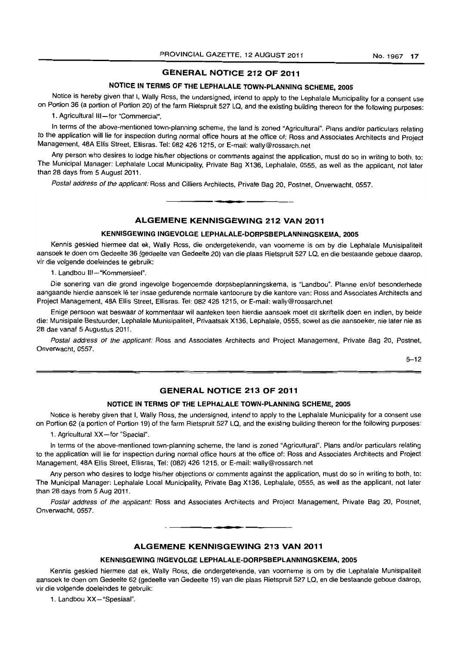# **GENERAL NOTICE 212 OF 2011**

# **NOTICE IN TERMS OF THE LEPHALALE TOWN-PLANNING SCHEME, 2005**

Notice is hereby given that I, Wally Ross, the undersigned, intend to apply to the Lephalale Municipality for a consent use on Portion 36 (a portion of Portion 20) of the farm Rietspruit 527 LQ, and the existing building thereon for the following purposes:

1. Agricultural III-for "Commercial".

In terms of the above-mentioned town-planning scheme, the land is zoned "Agricultural". Plans and/or particulars relating to the application will lie for inspection during normal office hours at the office of: Ross and Associates Architects and Project Management, 48A Ellis Street, Ellisras. Tel: 082 426 1215, or E-mail: wally@rossarch.net

Any person who desires to lodge his/her objections or comments against the application, must do so in writing to both, to: The Municipal Manager: Lephalale Local Municipality, Private Bag X136, Lephalale, 0555, as well as the applicant, not later than 28 days from 5 August 2011.

Postal address of the applicant: Ross and Cilliers Architects, Private Bag 20, Postnet, Onverwacht, 0557.

# **ALGEMENE KENNISGEWING 212 VAN 2011**

**- .** 

### **KENNISGEWING INGEVOLGE LEPHALALE-DORPSBEPLANNINGSKEMA, 2005**

Kennis geskied hiermee dat ek, Wally Ross, die ondergetekende, van voorneme is am by die Lephalale Munisipaliteit aansoek te doen om Gedeelte 36 (gedeelte van Gedeelte 20) van die plaas Rietspruit 527 LQ, en die bestaande geboue daarop, vir die volgende doeleindes te gebruik:

1. Landbou III-"Kommersieel".

Die sonering van die grond ingevolge bogenoemde dorpsbeplanningskema, is "Landbou". Planne en/of besonderhede aangaande hierdie aansoek lê ter insae gedurende normale kantoorure by die kantore van: Ross and Associates Architects and Project Management, 48A Ellis Street, Ellisras. Tel: 082 4261215, or E-mail: wally@rossarch.net

Enige persoon wat beswaar of kommentaar wil aanteken teen hierdie aansoek moet dit skriftelik doen en indien, by beide die: Munisipale Bestuurder, Lephalale Munisipaliteit, Privaatsak X136, Lephalale, 0555, sowel as die aansoeker, nie later nie as 28 dae vanaf 5 Augustus 2011.

Postal address of the applicant: Ross and Associates Architects and Project Management, Private Bag 20, Postnet, Onverwacht, 0557.

5-12

# **GENERAL NOTICE 213 OF 2011**

#### **NOTICE IN TERMS OF THE LEPHALALE TOWN-PLANNING SCHEME, 2005**

Notice is hereby given that I, Wally Ross, the undersigned, intend to apply to the Lephalale Municipality for a consent use on Portion 62 (a portion of Portion 19) of the farm Rietspruit 527 LQ, and the existing building thereon for the following purposes:

1. Agricultural XX-for "Special".

In terms of the above-mentioned town-planning scheme, the land is zoned "Agricultural", Plans andlor particulars relating to the application will lie for inspection during normal office hours at the office of: Ross and Associates Architects and Project Management, 48A Ellis Street, Ellisras, Tel: (082) 426 1215, or E-mail: wally@rossarch.net

Any person who desires to lodge his/her objections or comments against the application, must do so in writing to both, to: The Municipal Manager: Lephalale Local Municipality, Private Bag X136, Lephalale, 0555, as well as the applicant, not later than 28 days from 5 Aug 2011.

Postal address of the applicant: Ross and Associates Architects and Project Management, Private Bag 20, Postnet, Onverwacht, 0557.

**. -**

#### **ALGEMENE KENNISGEWING 213 VAN 2011**

#### **KENNISGEWING INGEVOLGE LEPHALALE-OORPSBEPLANNINGSKEMA, 2005**

Kennis geskied hiermee dat ek, Wally Ross, die ondergetekende, van voorneme is om by die Lephalale Munisipaliteit aansoek te doen om Gedeelte 62 (gedeelte van Gedeelte 19) van die plaas Rietspruit 527 LQ, en die bestaande geboue daarop, vir die volgende doeleindes te gebruik:

1. Landbou XX-"Spesiaal".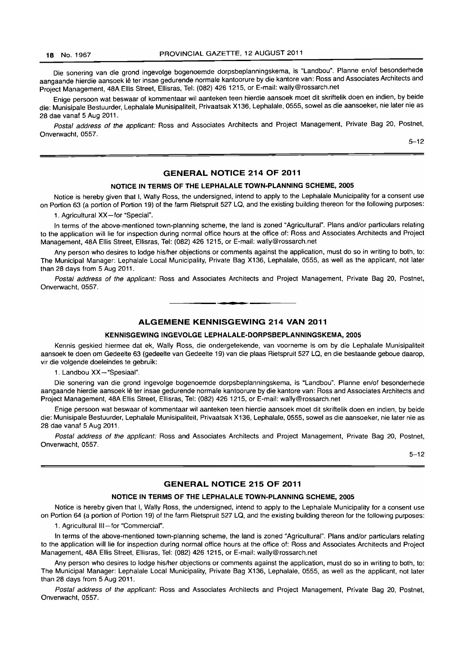Die sonering van die grond ingevolge bogenoemde dorpsbeplanningskema, is "Landbou". Planne en/of besonderhede aangaande hierdie aansoek lê ter insae gedurende normale kantoorure by die kantore van: Ross and Associates Architects and Project Management, 48A Ellis Street, Ellisras, Tel: (082) 426 1215, or E-mail: wally@rossarch.net

Enige persoon wat beswaar of kommentaar wil aanteken teen hierdie aansoek moet dit skriftelik doen en indien, by beide die: Munisipale Bestuurder, Lephalale Munisipaliteit, Privaatsak X136, Lephalale, 0555, sowel as die aansoeker, nie later nie as 28 dae vanaf 5 Aug 2011.

Postal address of the applicant: Ross and Associates Architects and Project Management, Private Bag 20, Postnet, Onverwacht, 0557.

5-12

### **GENERAL NOTICE 214 OF 2011**

# **NOTICE IN TERMS OF THE LEPHALALE TOWN-PLANNING SCHEME, 2005**

Notice is hereby given that I, Wally Ross, the undersigned, intend to apply to the Lephalale Municipality for a consent use on Portion 63 (a portion of Portion 19) of the farm Rietspruit 527 LQ, and the existing building thereon for the following purposes:

1. Agricultural XX-for "Special".

In terms of the above-mentioned town-planning scheme, the land is zoned "Agricultural". Plans and/or particulars relating to the application will lie for inspection during normal office hours at the office of: Ross and Associates Architects and Project Management, 48A Ellis Street, Ellisras, Tel: (082) 426 1215, or E-mail: wally@rossarch.net

Any person who desires to lodge his/her objections or comments against the application, must do so in writing to both, to: The Municipal Manager: Lephalale Local Municipality, Private Bag X136, Lephalale, 0555, as well as the applicant, not later than 28 days from 5 Aug 2011.

Postal address of the applicant: Ross and Associates Architects and Project Management, Private Bag 20, Postnet, Onverwacht, 0557.

### **ALGEMENE KENNISGEWING 214 VAN 2011**

#### **KENNISGEWING INGEVOLGE LEPHALALE-DORPSBEPLANNINGSKEMA, 2005**

Kennis geskied hiermee dat ek, Wally Ross, die ondergetekende, van voorneme is om by die Lephalale Munisipaliteit aansoek te doen om Gedeelte 63 (gedeelte van Gedeelte 19) van die plaas Rietspruit 527 La, en die bestaande geboue daarop, vir die volgende doeleindes te gebruik:

1. Landbou XX -- "Spesiaal".

Die sonering van die grond ingevolge bogenoemde dorpsbeplanningskema, is "Landbou". Planne en/of besonderhede aangaande hierdie aansoek Ie ter insae gedurende normale kantoorure by die kantore van: Ross and Associates Architects and Project Management, 48A Ellis Street, Ellisras, Tel: (082) 426 1215, or E-mail: wally@rossarch.net

Enige persoon wat beswaar of kommentaar wil aanteken teen hierdie aansoek moet dit skriftelik doen en indien, by beide die: Munisipale Bestuurder, Lephalale Munisipaliteit, Privaatsak X136, Lephalale, 0555, sowel as die aansoeker, nie later nie as 28 dae vanaf 5 Aug 2011.

Postal address of the applicant: Ross and Associates Architects and Project Management, Private Bag 20, Postnet, Onverwacht, 0557.

 $5 - 12$ 

### **GENERAL NOTICE 215 OF 2011**

#### **NOTICE IN TERMS OF THE LEPHALALE TOWN-PLANNING SCHEME, 2005**

Notice is hereby given that I, Wally Ross, the undersigned, intend to apply to the Lephalale Municipality for a consent use on Portion 64 (a portion of Portion 19) of the farm Rietspruit 527 La, and the existing building thereon for the following purposes:

1. Agricultural III-for "Commercial".

In terms of the above-mentioned town-planning scheme, the land is zoned "Agricultural". Plans and/or particulars relating to the application will lie for inspection during normal office hours at the office of: Ross and Associates Architects and Project Management, 48A Ellis Street, Ellisras, Tel: (082) 426 1215, or E-mail: wally@rossarch.net

Any person who desires to lodge his/her objections or comments against the application, must do so in writing to both, to: The Municipal Manager: Lephalale Local Municipality, Private Bag X136, Lephalale, 0555, as well as the applicant, not later than 28 days from 5 Aug 2011.

Postal address of the applicant: Ross and Associates Architects and Project Management, Private Bag 20, Postnet, Onverwacht, 0557.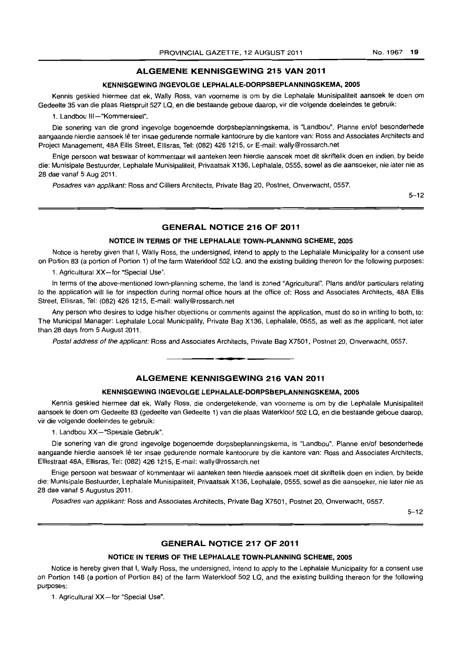### **ALGEMENE KENNISGEWING 215 VAN 2011**

#### **KENNISGEWING INGEVOLGE LEPHALALE-DORPSBEPLANNINGSKEMA, 2005**

Kennis geskied hiermee dat ek, Wally Ross, van voorneme is am by die Lephalale Munisipaliteit aansoek te doen om Gedeelte 35 van die plaas Rietspruit 527 LQ, en die bestaande geboue daarop, vir die volgende doeleindes te gebruik:

1. Landbou III-"Kommersieel".

Die sonering van die grand ingevolge bogenoemde dorpsbeplanningskema, is "Landbou". Planne en/of besonderhede aangaande hierdie aansoek lê ter insae gedurende normale kantoorure by die kantore van: Ross and Associates Architects and Project Management, 48A Ellis Street, Ellisras. Tel: (082) 426 1215, or E-mail: wally@rossarch.net

Enige persoon wat beswaar of kommentaar wil aanteken teen hierdie aansoek moet dit skriftelik doen en indien, by beide die: Munisipale Bestuurder. Lephalale Munisipaliteit, Privaatsak X136, Lephalale, 0555, sowel as die aansoeker, nie later nie as 28 dae vanaf 5 Aug 2011.

Posadres van appfikant: Ross and Gilliers Architects, Private Bag 20, Postnet, Onverwacht, 0557.

5-12

# **GENERAL NOTICE 216 OF 2011**

#### **NOTICE IN TERMS OF THE LEPHALALE TOWN-PLANNING SCHEME, 2005**

Notice is hereby given that I, Wally Ross, the undersigned, intend to apply to the Lephalale Municipality for a consent use on Portion 83 (a portion of Portion 1) of the farm Waterkloof 502 LQ, and the existing building thereon for the following purposes:

1. Agricultural XX-for "Special Use".

In terms of the above-mentioned town-planning scheme, the land is zoned "Agricultural". Plans and/or particulars relating to the application will lie for inspection during normal office hours at the office of: Ross and Associates Architects, 48A Ellis Street, Ellisras, Tel: (082) 426 1215, E-mail: wally@rossarch.net

Any person who desires to lodge hislher objections or comments against the application, must do so in writing to both, to: The Municipal Manager: Lephalale Local Municipality, Private Bag X136, Lephalale, 0555, as well as the applicant, not later than 28 days from 5 August 2011.

Postal address of the applicant: Ross and Associates Architects, Private Bag X7501, Postnet 20, Onverwacht, 0557 .

**. -**

#### **ALGEMENE KENNISGEWING 216 VAN 2011**

#### **KENNISGEWING INGEVOLGE LEPHALALE-DORPSBEPLANNINGSKEMA, 2005**

Kennis geskied hiermee dat ek, Wally Ross, die ondergetekende, van voorneme is om by die Lephalale Munisipaliteit aansoek te doen om Gedeelte 83 (gedeelte van Gedeelte 1) van die plaas Waterkloof 502 LQ, en die bestaande geboue daarop, vir die volgende doeleindes te gebruik:

1. Landbou XX-"Spesiale Gebruik".

Die sonering van die grand ingevolge bogenoemde dorpsbeplanningskema, is "Landbou". Planne en/of besonderhede aangaande hierdie aansoek lê ter insae gedurende normale kantoorure by die kantore van: Ross and Associates Architects, Ellisstraat 48A, Ellisras, Tel: (082) 4261215, E-mail: wally@rossarch.net

Enige persoon wat beswaar of kommentaar wi! aanteken teen hierdie aansoek moet dit skriftelik doen en indien, by beide die: Munisipale Bestuurder, Lephalale Munisipaliteit, Privaatsak X136, Lephalale, 0555, sowel as die aansoeker, nie later nie as 28 dae vanaf 5 Augustus 2011 .

Posadres van applikant: Ross and Associates Architects, Private Bag X7501, Postnet 20, Onverwacht, 0557.

5-12

### **GENERAL NOTICE 217 OF 2011**

#### **NOTICE IN TERMS OF THE LEPHALALE TOWN-PLANNING SCHEME, 2005**

Notice is hereby given that I, Wally Ross, the undersigned, intend to apply to the Lephalale Municipality for a consent use on Portion 148 (a portion of Portion 84) of the farm Waterkloof 502 LQ, and the existing building thereon for the following purposes:

1. Agricultural XX-for "Special Use".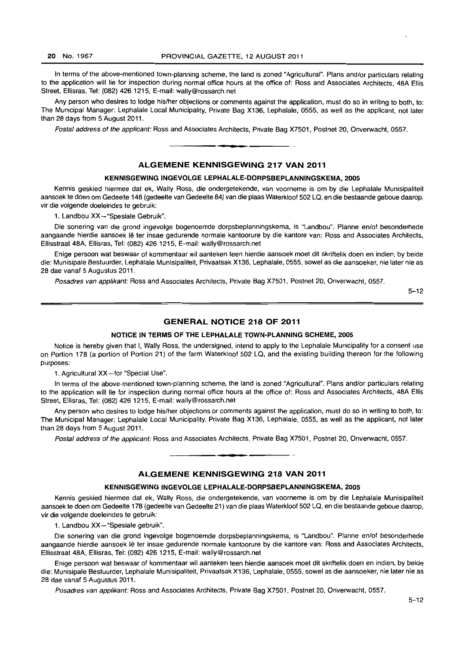#### 20 No. 1967 PROVINCIAL GAZETTE, 12 AUGUST 2011

In terms of the above-mentioned town-planning scheme, the land is zoned "Agricultural". Plans and/or particulars relating to the application will lie for inspection during normal office hours at the office of: Ross and Associates Architects, 48A Ellis Street, Ellisras, Tel: (082) 426 1215, E-mail: wally@rossarch.net

Any person who desires to lodge his/her objections or comments against the application, must do so in writing to both, to: The Municipal Manager: Lephalale Local Municipality, Private Bag X136, Lephalale, 0555, as well as the applicant, not later than 28 days from 5 August 2011.

Postal address of the applicant: Ross and Associates Architects, Private Bag X7501, Postnet 20, Onverwacht, 0557 . . **-.** 

# ALGEMENE KENNISGEWING 217 VAN 2011

#### KENNISGEWING INGEVOLGE LEPHALALE-DORPSBEPLANNINGSKEMA, 2005

Kennis geskied hiermee dat ek, Wally Ross, die ondergetekende, van voorneme is om by die Lephalale Munisipaliteit aansoek te doen om Gedeelte 148 (gedeelte van Gedeelte 84) van die plaas Waterkloof 502 La, en die bestaande geboue daarop, vir die volgende doeleindes te gebruik:

1. Landbou XX-"Spesiale Gebruik".

Die sonering van die grond ingevolge bogenoemde dorpsbeplanningskema, is "Landbou". Planne enlof besonderhede aangaande hierdie aansoek lê ter insae gedurende normale kantoorure by die kantore van: Ross and Associates Architects, Ellisstraat 48A, Ellisras, Tel: (082) 4261215, E-mail: wally@rossarch.net

Enige persoon wat beswaar of kommentaar wil aanteken teen hierdie aansoek moet dit skriftelik doen en indien. by beide die: Munisipale Bestuurder, Lephalale Munisipaliteit, Privaatsak X136, Lephalale, 0555, sowel as die aansoeker, nie later nie as 28 dae vanaf 5 Augustus 2011.

Posadres van applikant: Ross and Associates Architects, Private Bag X7501, Postnet 20, Onverwacht, 0557.

5-12

### GENERAL NOTICE 218 OF 2011

#### NOTICE IN TERMS OF THE LEPHALALE TOWN-PLANNING SCHEME, 2005

Notice is hereby given that I, Wally Ross, the undersigned, intend to apply to the Lephalale Municipality for a consent use on Portion 178 (a portion of Portion 21) of the farm Waterkloof 502 LQ, and the existing building thereon for the following purposes:

1. Agricultural XX-for "Special Use".

In terms of the above-mentioned town-planning scheme, the land is zoned "Agricultural". Plans and/or particulars relating to the application will lie for inspection during normal office hours at the office of: Ross and Associates Architects, 48A Ellis Street, Ellisras, Tel: (082) 426 1215, E-mail: wally@rossarch.net

Any person who desires to lodge his/her objections or comments against the application, must do so in writing to both, to: The Municipal Manager: Lephalale Local Municipality, Private Bag X136, Lephalale, 0555, as well as the applicant, not later than 28 days from 5 August 2011.

Postal address of the applicant: Ross and Associates Architects, Private Bag X7501, Postnet 20, Onverwacht, 0557.

• • I

# ALGEMENE KENNISGEWING 218 VAN 2011

#### KENNISGEWING INGEVOLGE LEPHALALE-DORPSBEPLANNINGSKEMA, 2005

Kennis geskied hiermee dat ek, Wally Ross, die ondergetekende, van voorneme is om by die Lephalale Munisipalileit aansoek te doen om Gedeelte 178 (gedeelte van Gedeelte 21) van die plaas Waterkloof 502 La, en die bestaande geboue daarop, vir die volgende doeleindes te gebruik:

1. Landbou XX-"Spesiale gebruik".

Die sonering van die grond ingevolge bogenoemde dorpsbeplanningskema, is "Landbou". Planne en/of besonderhede aangaande hierdie aansoek lê ter insae gedurende normale kantoorure by die kantore van: Ross and Associates Architects, Ellisstraat 48A, Ellisras, Tel: (082) 426 1215, E-mail: wally@rossarch.net

Enige persoon wat beswaar of kommentaar wil aanteken teen hierdie aansoek moet dit skriftelik doen en indien, by beide die: Munisipale Bestuurder, Lephalale Munisipaliteit, Privaatsak X136, Lephalale, 0555, sowel as die aansoeker, nie later nie as 28 dae vanaf 5 Augustus 2011.

Posadres van appllkant: Ross and Associates Architects, Private Bag X7501, Postnet 20, Onverwacht, 0557.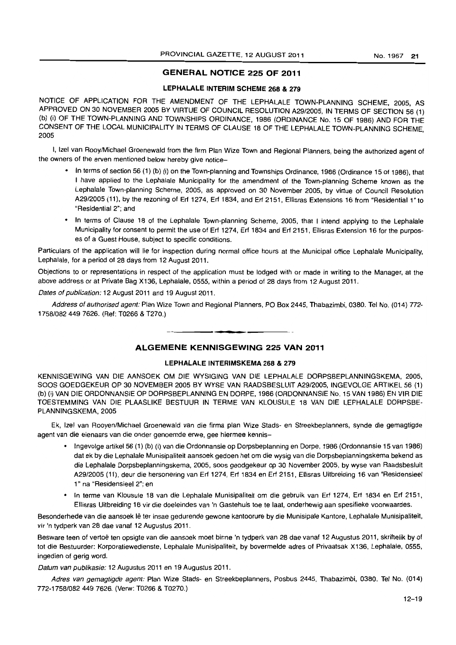### GENERAL NOTICE 225 OF 2011

### LEPHALALE INTERIM SCHEME 268 & 279

NOTICE OF APPLICATION FOR THE AMENDMENT OF THE LEPHALALE TOWN-PLANNING SCHEME. 2005, AS APPROVED ON 30 NOVEMBER 2005 BY VIRTUE OF COUNCIL RESOLUTION A29/2005, IN TERMS OF SECTION 56 (1) (b) (i) OF THE TOWN-PLANNING AND TOWNSHIPS ORDINANCE. 1986 (ORDINANCE No. 15 OF 1986) AND FOR THE CONSENT OF THE LOCAL MUNICIPALITY IN TERMS OF CLAUSE 18 OF THE LEPHALALE TOWN-PLANNING SCHEME, 2005

I, Izel van Rooy/Michael Groenewald from the firm Plan Wize Town and Regional Planners, being the authorized agent of the owners of the erven mentioned below hereby give notice-

- In terms of section 56 (1) (b) (i) on the Town-planning and Townships Ordinance, 1986 (Ordinance 15 of 1986), that I have applied to the Lephalale Municipality for the amendment of the Town-planning Scheme known as the Lephalale Town-planning Scheme, 2005, as approved on 30 November 2005, by virtue of Council Resolution A29/2005 (11), by the rezoning of Erf 1274, Erf 1834, and Erf 2151, Ellisras Extensions 16 from "Residential 1" to "Residential 2"; and
- In terms of Clause 18 of the Lephalale Town-planning Scheme, 2005, that I intend applying to the Lephalale Municipality for consent to permit the use of Erf 1274, Erf 1834 and Erf 2151, Ellisras Extension 16 for the purposes of a Guest House, subject to specific conditions.

Particulars of the application will lie for inspection during normal office hours at the Municipal office Lephalale Municipality, Lephalale, for a period of 28 days from 12 August 2011.

Objections to or representations in respect of the application must be lodged with or made in writing to the Manager, at the above address or at Private Bag X136, Lephalale, 0555, within a period of 28 days from 12 August 2011.

Dates of publication: 12 August 2011 and 19 August 2011.

Address of authorised agent: Plan Wize Town and Regional Planners, PO Box 2445, Thabazimbi, 0380. Tel No. (014) 772- *1758/0824497626.* (Ref: T0266 & T270.)

# ALGEMENE KENNISGEWING 225 VAN 2011

• **• •** 

#### LEPHALALE INTERIMSKEMA 268 & 279

KENNISGEWING VAN DIE AANSOEK OM DIE WYSIGING VAN DIE LEPHALALE DORPSBEPLANNINGSKEMA, 2005, SO OS GOEDGEKEUR OP 30 NOVEMBER 2005 BY WYSE VAN RAADSBESLUIT A29/2005. INGEVOLGE ARTIKEL 56 (1) (b) (i) VAN DIE ORDONNANSIE OP DORPSBEPLANNING EN DORPE, 1986 (ORDONNANSIE No. 15 VAN 1986) EN VIR DIE TOESTEMMING VAN DIE PLAASLIKE BESTUUR IN TERME VAN KLOUSULE 18 VAN DIE LEPHALALE DORPSBE-PLANNINGSKEMA. 2005

Ek, Izel van Rooyen/Michael Groenewald van die firma plan Wize Stads- en Streekbeplanners, synde die gemagtigde agent van die eienaars van die onder genoemde erwe, gee hiermee kennis-

- Ingevolge artikel 56 (1) (b) (I) van die Ordonnansie op Dorpsbeplanning en Darpe, 1986 (Ordonnansie 15 van 1986) dat ek by die Lephalale Munisipaliteil aansoek gedoen het om die wysig van die Dorpsbeplanningskema bekend as die Lephalale Dorpsbeplanningskema, 2005, soos geodgekeur op 30 November 2005, by wyse van Raadsbesluit A29/2005 (11), deur die hersonering van Erf 1274. Erf 1834 en Erf 2151, Ellisras Uitbreiding 16 van "Residensieel 1" na "Residensieel 2"; en
- In terme van Klousule 18 van die Lephalale Munisipaliteit om die gebruik van Erf 1274, Erf 1834 en Erf 2151, Ellisras Uitbreiding 16 vir die doeleindes van 'n Gastehuis toe te laat, onderhewig aan spesifieke voorwaardes.

Besonderhede van die aansoek Ie ter insae gedurende gewone kantoorure by die Munisipale Kantore. Lephalale Munisipaliteit, vir 'n tydperk van 28 dae vanaf 12 Augustus 2011.

Besware teen of vertoë ten opsigte van die aansoek moet binne 'n tydperk van 28 dae vanaf 12 Augustus 2011, skriftelik by of tot die Bestuurder: Korporatiewedienste, Lephalale Munisipaliteit, by bovermelde adres of Privaatsak X136, Lephalale, 0555, ingedien of gerig word.

Datum van publikasie: 12 Augustus 2011 en 19 Augustus 2011 .

Adres van gemagtigde agent: Plan Wize Slads- en Streekbeplanners, Posbus 2445, Thabazimbi, 0380. Tel No. (014) 772-1758/0824497626. (Verw: T0266 & T0270.)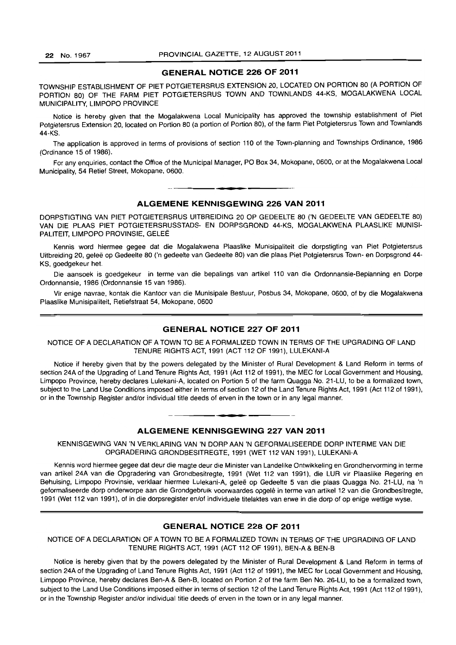### **GENERAL NOTICE 226 OF 2011**

TOWNSHIP ESTABLISHMENT OF PIET POTGIETERSRUS EXTENSION 20, LOCATED ON PORTION 80 (A PORTION OF PORTION 80) OF THE FARM PIET POTGIETERSRUS TOWN AND TOWNLANDS 44-KS, MOGALAKWENA LOCAL MUNICIPALITY, LIMPOPO PROVINCE

Notice is hereby given that the Mogalakwena Local Municipality has approved the township establishment of Piet Potgietersrus Extension 20, located on Portion 80 (a portion of Portion 80), of the farm Piet Potgietersrus Town and Townlands 44-KS.

The application is approved in terms of provisions of section 110 of the Town-planning and Townships Ordinance, 1986 (Ordinance 15 of 1986).

For any enquiries, contact the Office of the Municipal Manager, PO Box 34, Mokopane, 0600, or at the Mogalakwena Local Municipality, 54 Retief Street, Mokopane, 0600.

# **ALGEMENE KENNISGEWING 226 VAN 2011**

n **\_ •** 

DORPSTIGTING VAN PIET POTGIETERSRUS UITBREIDING 20 OP GEDEELTE 80 ('N GEDEELTE VAN GEDEELTE 80) VAN DIE PLAAS PIET POTGIETERSRUSSTADS- EN DORPSGROND 44-KS, MOGALAKWENA PLAASLIKE MUNISI-PALITEIT, LIMPOPO PROVINSIE, GELEË

Kennis word hiermee gegee dat die Mogalakwena Plaaslike Munisipaliteit die dorpstigting van Piet Potgietersrus Uitbreiding 20, geleë op Gedeelte 80 ('n gedeelte van Gedeelte 80) van die plaas Piet Potgietersrus Town- en Dorpsgrond 44-KS, goedgekeur het.

Die aansoek is goedgekeur in terme van die bepalings van artikel 110 van die Ordonnansie-Beplanning en Dorpe Ordonnansie, 1986 (Ordonnansie 15 van 1986).

Vir enige navrae, kontak die Kantoor van die Munisipale Bestuur, Posbus 34, Mokopane, 0600, of by die Mogalakwena Plaaslike Munisipaliteit, Retiefstraat 54, Mokopane, 0600

#### **GENERAL NOTICE 227 OF 2011**

NOTICE OF A DECLARATION OF A TOWN TO BE A FORMALIZED TOWN IN TERMS OF THE UPGRADING OF LAND TENURE RIGHTS ACT, 1991 (ACT 112 OF 1991), LULEKANI-A

Notice if hereby given that by the powers delegated by the Minister of Rural Development & Land Reform in terms of section 24A of the Upgrading of Land Tenure Rights Act, 1991 (Act 112 of 1991), the MEC for Local Government and Housing, Limpopo Province, hereby declares Lulekani-A. located on Portion 5 of the farm Quagga No. 21-LU, to be a formalized town, subject to the Land Use Conditions imposed either in terms of section 12 of the Land Tenure Rights Act, 1991 (Act 112 of 1991), or in the Township Register and/or individual title deeds of erven in the town or in any legal manner.

#### **ALGEMENE KENNISGEWING 227 VAN 2011**

**• •** 

KENNISGEWING VAN 'N VERKLARING VAN 'N DORP AAN 'N GEFORMALISEERDE DORP INTERME VAN DIE OPGRADERING GRONDBESITREGTE, 1991 (WET 112 VAN 1991), LULEKANI-A

Kennis word hiermee gegee dat deur die magte deur die Minister van Landelike Ontwikkeling en Grondhervorming in terme van artikel 24A van die Opgradering van Grondbesitregte. 1991 (Wet 112 van 1991), die LUR vir Plaaslike Regering en Behuising. Limpopo Provinsie. verklaar hiermee Lulekani-A, gelee op Gedeelte 5 van die plaas Quagga No. 21-LU, na 'n geformaliseerde dorp onderworpe aan die Grondgebruik voorwaardes opgelê in terme van artikel 12 van die Grondbesitregte, 1991 (Wet 112 van 1991), of in die dorpsregister en/of individuele titelaktes van erwe in die dorp of op enige wettige wyse.

#### **GENERAL NOTICE 228 OF 2011**

NOTICE OF A DECLARATION OF A TOWN TO BE A FORMALIZED TOWN IN TERMS OF THE UPGRADING OF LAND TENURE RIGHTS ACT, 1991 (ACT 112 OF 1991), BEN-A & BEN-S

Notice is hereby given that by the powers delegated by the Minister of Rural Development & Land Reform in terms of section 24A of the Upgrading of Land Tenure Rights Act, 1991 (Act 112 of 1991), the MEC for Local Government and Housing, Limpopo Province, hereby declares Ben-A & Ben-B, located on Portion 2 of the farm Ben No. 26-LU, to be a formalized town, subject to the Land Use Conditions imposed either in terms of section 12 of the Land Tenure Rights Act, 1991 (Act 112 of 1991), or in the Township Register and/or individual title deeds of erven in the town or in any legal manner.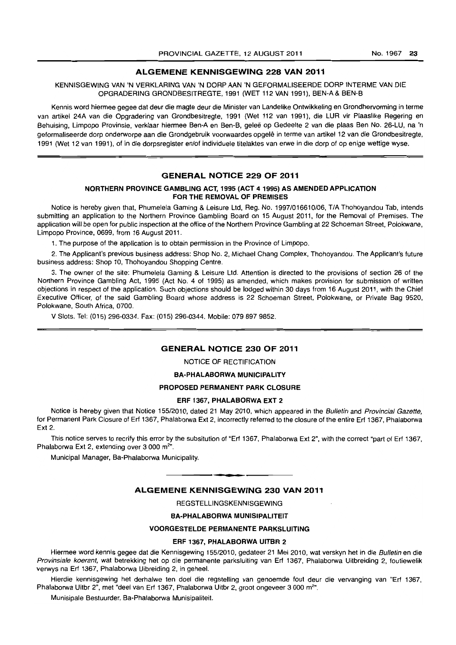# ALGEMENE KENNISGEWING 228 VAN 2011

#### KENNISGEWING VAN 'N VERKLARING VAN 'N DORP AAN 'N GEFORMALISEERDE DORP INTERME VAN DIE OPGRADERING GRONDBESITREGTE, 1991 (WET 112 VAN 1991), BEN-A & BEN-B

Kennis word hiermee gegee dat deur die magte deur die Minister van Landelike Ontwikkeling en Grondhervorming in terme van artikel 24A van die Opgradering van Grondbesitregte, 1991 (Wet 112 van 1991), die LUR vir Plaaslike Regering en Behuising, Limpopo Provinsie, verklaar hiermee Ben-A en Ben-B, geleë op Gedeelte 2 van die plaas Ben No. 26-LU, na 'n geformaliseerde dorp onderworpe aan die Grondgebruik voorwaardes opgelê in terme van artikel 12 van die Grondbesitregte, 1991 (Wet 12 van 1991), of in die dorpsregister en/of individuele titelaktes van erwe in die dorp of op enige wettige wyse.

### GENERAL NOTICE 229 OF 2011

### NORTHERN PROVINCE GAMBLING ACT, 1995 (ACT 41995) AS AMENDED APPLICATION FOR THE REMOVAL OF PREMISES

Notice is hereby given that, Phumelela Gaming & Leisure Ltd, Reg. No. 19971016610/06, TIA Thohoyandou Tab, intends submitting an application to the Northern Province Gambling Board on 15 August 2011, for the Removal of Premises. The application will be open for public inspection at the office of the Northern Province Gambling at 22 Schoeman Street, Polokwane, Limpopo Province, 0699, from 16 August 2011.

1. The purpose of the application is to obtain permission in the Province of Limpopo.

2. The Applicant's previous business address: Shop No.2, Michael Chang Complex, Thohoyandou. The Applicant's future business address: Shop 10, Thohoyandou Shopping Centre.

3. The owner of the site: Phumelela Gaming & Leisure Ltd. Attention is directed to the provisions of section 26 of the Northern Province Gambling Act, 1995 (Act No. 4 of 1995) as amended, which makes provision for submission of written objections in respect of the application. Such objections should be lodged within 30 days from 16 August 2011, with the Chief Executive Officer, of the said Gambling Board whose address is 22 Schoeman Street, Polokwane, or Private Bag 9520, Polokwane, South Africa, 0700.

V Slots. Tel: (015) 296-0334. Fax: (015) 296-0344. Mobile: 079 897 9852.

#### GENERAL NOTICE 230 OF 2011

NOTICE OF RECTIFICATION

#### BA-PHALABORWA MUNICIPALITY

#### PROPOSED PERMANENT PARK CLOSURE

#### ERF 1367, PHALABORWA EXT 2

Notice is hereby given that Notice 155/2010, dated 21 May 2010, which appeared in the Bulletin and Provincial Gazette, for Permanent Park Closure of Erf 1367, Phalaborwa Ext 2, incorrectly referred to the closure of the entire Erf 1367, Phalaborwa Ext 2.

This notice serves to recrify this error by the subsitution of "Erf 1367, Phalaborwa Ext 2", with the correct "part of Erf 1367, Phalaborwa Ext 2, extending over 3 000 m<sup>2</sup>".

Municipal Manager, Ba-Phalaborwa Municipality.

### ALGEMENE KENNISGEWING 230 VAN 2011

**• I** 

REGSTELLINGSKENNISGEWING

#### BA-PHALABORWA MUNISIPALITEIT

### VOORGESTELDE PERMANENTE PARKSLUITING

#### ERF 1367, PHALABORWA UITBR 2

Hiermee word kennis gegee dat die Kennisgewing 155/2010, gedateer 21 Mei 2010, wat verskyn het in die Bulletin en die Provinsiale koerant, wat betrekking het op die permanente parksluiting van Erf 1367, Phalaborwa Uitbreiding 2, foutiewelik verwys na Erf 1367, Phalaborwa Uibreiding 2, in geheel.

Hierdie kennisgewing het derhalwe ten doel die regstelling van genoemde fout deur die vervanging van "Erf 1367, Phalaborwa Uitbr 2", met "deel van Erf 1367, Phalaborwa Uitbr 2, groot ongeveer 3 000 m<sup>2</sup>".

Munisipale Bestuurder, Ba-Phalaborwa Munisipaliteit.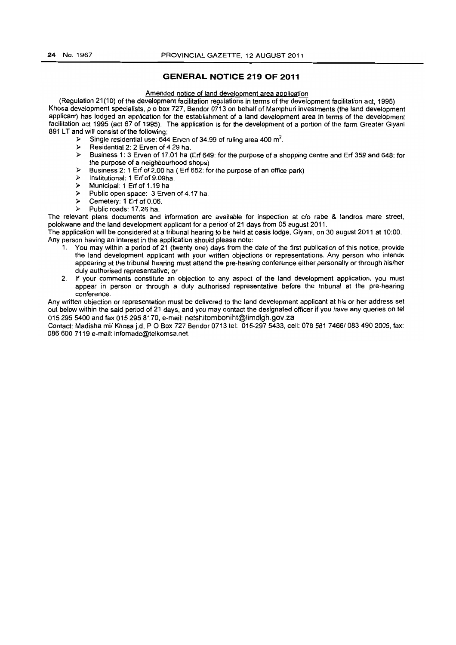# **GENERAL NOTICE 219 OF 2011**

# Amended notice of land development area application

(Regulation 21(10) of the development facilitation regulations in terms of the development facilitation act, 1995) Khosa development specialists, p o box 727, Bendor 0713 on behalf of Mamphuri investments (the land development applicant) has lodged an application for the establishment of a land development area in terms of the development facilitation act 1995 (act 67 of 1995). The application is for the development of a portion of the farm Greater Giyani 891 LT and will consist of the following:

- $\triangleright$  Single residential use: 644 Erven of 34.99 of ruling area 400 m<sup>2</sup>.
- Residential 2: 2 Erven of 4.29 ha.<br>
> Business 1: 3 Erven of 17.01 ha.
- );> Business 1: 3 Erven of 17.01 ha (Erf 649: for the purpose of a shopping centre and Erf 359 and 648: for the purpose of a neighbourhood shops)
- );> Business 2: 1 Erf of 2.00 ha ( Erf 652: for the purpose of an office park)
- $\triangleright$  Institutional: 1 Erf of 9.09ha.<br> $\triangleright$  Municipal: 1 Erf of 1 19 has
- );> Municipal: 1 Erf of 1.19 ha
- $\triangleright$  Public open space: 3 Erven of 4.17 ha.
- );> Cemetery: 1 Erf of 0.06.
- $\triangleright$  Public roads: 17.26 ha.

The relevant plans documents and information are available for inspection at c/o rabe & landros mare street, polokwane and the land development applicant for a period of 21 days from 05 august 2011.

The application will be considered at a tribunal hearing to be held at oasis lodge, Giyani, on 30 august 2011 at 10:00. Any person having an interest in the application should please note:

- 1. You may within a period of 21 (twenty one) days from the date of the first publication of this notice, provide the land development applicant with your written objections or representations. Any person who intends appearing at the tribunal hearing must attend the pre-hearing conference either personally or through his/her duly authorised representative; or
- 2. If your comments constitute an objection to any aspect of the land development application, you must appear in person or through a duly authorised representative before the tribunal at the pre-hearing conference.

Any written objection or representation must be delivered to the land development applicant at his or her address set out below within the said period of 21 days, and you may contact the designated officer if you have any queries on tel 0152955400 and fax 015 295 8170. e-mail: netshitomboniht@limdlgh.gov.za

Contact: Madisha *mil* Khosa j.d, POBox 727 Bendor *0713* tel: 015-2975433. cell: 078 581 *7466/0834902005,* fax: 086600 7119 e-mail: infomadc@telkomsa.net.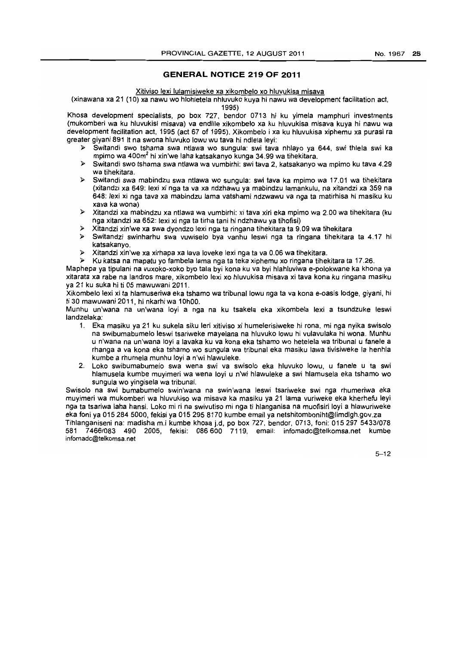# **GENERAL NOTICE 219 OF 2011**

#### Xitiviso lexi lulamisiweke xa xikombelo xo hluvukisa misava

(xinawana xa 21 (10) xa nawu wo hlohletela nhluvuko kuya hi nawu wa development facilitation act,

1995)

Khosa development specialists, po box 727, bendor 0713 hi ku yimela mamphuri investments (mukomberi wa ku hluvuk;si misava) va endlile xikombelo xa ku hluvukisa misava kuya hi nawu wa development facilitation act, 1995 (act 67 of 1995). Xikombelo i xa ku hluvukisa xiphemu xa purasi ra greater giyani 891 It na swona hluvuko lowu wu tava hi ndlela leyi:

- )- Sw;tand; swo tshama swa ntlawa wo sungula: swi tava nhlayo ya 644, swi thlela swi ka mpimo wa 400m2 hi xin'we laha katsakanyo kunga 34.99 wa tihekitara.
- )- Switandi swo tshama swa ntlawa wa vumbirhi: swi tava 2, katsakanyo wa mpimo ku tava 4.29 wa tihekitara.
- )- Switandi swa mabindzu swa ntlawa wo sungula: swi tava ka mpimo wa 17.01 wa tihekitara (xitandzi xa 649: lexi xi nga ta va xa ndzhawu ya mabindzu lamankulu, na xitandzi xa 359 na 648: lexi xi nga tava xa mabindzu lama vatshami ndzwawu va nga ta matirhisa hi masiku ku xava ka wona)
- )- Xitandzi xa mabindzu xa ntlawa wa vumbirhi: xi tava xiri eka mpimo wa 2.00 wa tihekitara (ku nga xitandzi xa 652: lexi xi nga ta tirha tani hi ndzhawu ya tihofisi)
- )- Xitandzi xin'we xa swa dyondzo lexi nga ta ringana tihekitara ta 9.09 wa tihekitara
- $\triangleright$  Switandzi swinharhu swa vuwiselo bya vanhu leswi nga ta ringana tihekitara ta 4.17 hi katsakanyo.
- )- Xitandzi xin'we xa xirhapa xa lava loveke lexi nga ta va 0.06 wa tihekitara.
- )- Ku katsa na mapatu yo fambela lama nga ta teka xiphemu xo ringana tihekitara ta 17.26.

Maphepa ya tipulani na vuxoko-xoko bye tala byi kona ku va byi hlahluviwa e-polokwane ka khona ya xitarata xa rabe na landros mare, xikombelo lexi xo hluvukisa misava xi tava kona ku ringana masiku ya 21 ku suka hi ti 05 mawuwani 2011.

Xikombelo lexi xi ta hlamuseriwa eka tshamo wa tribunallowu nga ta va kona e-oasis lodge, giyani, hi ti 30 mawuwani 2011, hi nkarhi wa 10hOO.

Munhu un'wana na un'wana loyi a nga na ku tsakela eka xikombela lexi a tsundzuke leswi landzelaka:

- 1. Eka masiku ya 21 ku sukela siku leri xitiviso xi humelerisiweke hi rona, mi nga nyika swisolo na swibumabumelo leswi tsariweke mayelana na hluvuko lowu hi vulavulaka hi wona. Munhu u n'wana na un'wana loyi a lavaka ku va kona eka tshamo wo hetelela wa tribunal u tanele a rhanga a va kona eka tshamo wo sungula wa tribunal eka masiku lawa tivisiweke la henhla kumbe a rhumela munhu loyi a n'wi hlawuleke.
- 2. Loko swibumabumelo swa wena swi va swisolo eka hluvuko lowu, u tanele u ta swi hlamusela kumbe muyimeri wa wena loyi u n'wi hlawuleke a swi hlamusela eka tshamo wo sungula wo yingisela wa tribunal.

Swisolo na sw; bumabumelo swin'wana na swin'wana leswi tsariweke swi nga rhumeriwa eka muyimeri wa mukomberi wa hluvukiso wa misava ka masiku ya 21 lama vuriweke eka kherhefu leyi nga ta tsariwa laha hansi. Loko mi ri na swivutiso mi nga ti hlanganisa na muofisiri loy; a hlawuriweke eka foni ya 015 284 5000, fekisi ya 015 295 8170 kumbe email ya netshitomboniht@limdlgh.gov.za

Tihlanganiseni na: madisha m.i kumbe khosa j.d, po box 727, bendor, 0713, foni: 015 297 *5433/078*  581 *7466/083* 490 2005, fekisi: 086600 7119, email: infomadc@telkomsa.net kumbe infomadc@telkomsa.net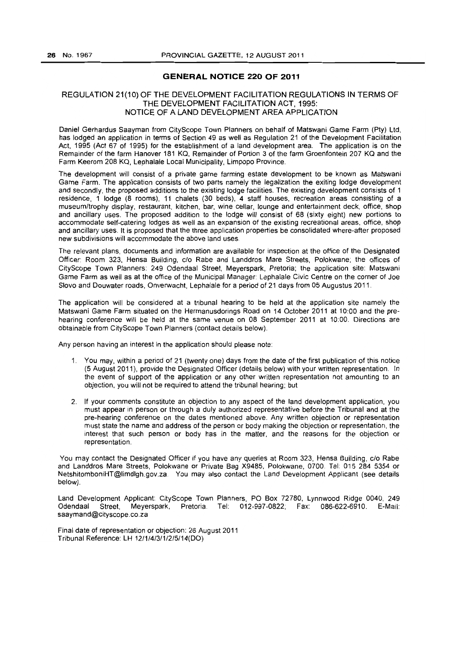### **GENERAL NOTICE 220 OF 2011**

# REGULATION 21(10) OF THE DEVELOPMENT FACILITATION REGULATIONS IN TERMS OF THE DEVELOPMENT FACILITATION ACT, 1995: NOTICE OF A LAND DEVELOPMENT AREA APPLICATION

Daniel Gerhardus Saayman from CityScope Town Planners on behalf of Matswani Game Farm (Pty) Ltd, has lodged an application in terms of Section 49 as well as Regulation 21 of the Development Facilitation Act, 1995 (Act 67 of 1995) for the establishment of a land development area. The application is on the Remainder of the farm Hanover 181 KQ, Remainder of Portion 3 of the farm Groenfontein 207 KQ and the Farm Keerom 208 KQ, Lephalale Local Municipality, Limpopo Province.

The development will consist of a private game farming estate development to be known as Matswani Game Farm. The application consists of two parts namely the legalization the exiting lodge development and secondly, the proposed additions to the existing lodge facilities. The existing development consists of 1 residence, 1 lodge (8 rooms), 11 chalets (30 beds), 4 staff houses, recreation areas consisting of a museumltrophy display, restaurant, kitchen. bar, wine cellar, lounge and entertainment deck. office, shop and ancillary uses. The proposed addition to the lodge will consist of 68 (sixty eight) new portions to accommodate self-catering lodges as well as an expansion of the existing recreational areas, office, shop and ancillary uses. It is proposed that the three application properties be consolidated where-after proposed new subdivisions will accommodate the above land uses.

The relevant plans, documents and information are available for inspection at the office of the Designated Officer: Room 323, Hensa Building, c/o Rabe and Landdros Mare Streets, Polokwane; the offices of CityScape Town Planners: 249 Odendaal Street, Meyerspark, Pretoria; the application site: Matswani Game Farm as well as at the office of the Municipal Manager: Lephalale Civic Centre on the corner of Joe Siovo and Douwater roads, Onverwacht, Lephalale for a period of 21 days from 05 Augustus 2011.

The application will be considered at a tribunal hearing to be held at the application site namely the Matswani Game Farm situated on the Hermanusdorings Road on 14 October 2011 at 10:00 and the prehearing conference will be held at the same venue on 08 September 2011 at 10:00. Directions are obtainable from CityScope Town Planners (contact details below).

Any person having an interest in the application should please note:

- 1. You may, within a period of 21 (twenty one) days from the date of the first publication of this notice (5 August 2011), provide the Designated Officer (details below) with your written representation. In the event of support of the application or any other written representation not amounting to an objection, you will not be required to attend the tribunal hearing; but
- 2. If your comments constitute an objection to any aspect of the land development application, you must appear in person or through a duly authorized representative before the Tribunal and at the pre-hearing conference on the dates mentioned above. Any written objection or representation must state the name and address of the person or body making the objection or representation, the interest that such person or body has in the matter, and the reasons for the objection or representation.

You may contact the Designated Officer if you have any queries at Room 323, Hensa Building, c/o Rabe and Landdros Mare Streets, Polokwane or Private Bag X9485, Polokwane, 0700. Tel: 015 284 5354 or NetshitomboniHT@limdlgh.gov.za. You may also contact the Land Development Applicant (see details below).

Land Development Applicant: CityScope Town Planners, PO Box 72780, Lynnwood Ridge 0040, 249 Odendaal Street, Meyerspark, Pretoria. Tel: 012-997-0822; Fax: 086-622-6910. E-Mail: saaymand@cityscope.co.za

Final date of representation or objection: 26 August 2011 Tribunal Reference: LH 12/1/4/3/112/5/14(DO)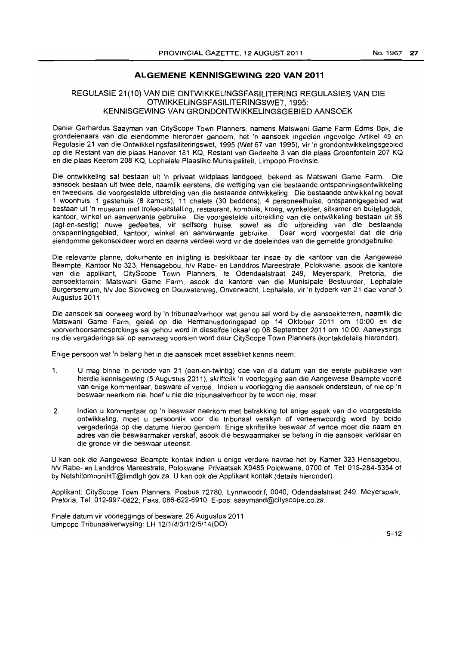# **ALGEMENE KENNISGEWING 220 VAN 2011**

### REGULASIE 21(10} VAN DIE ONTWIKKELlNGSFASILITERING REGULASIES VAN DIE OTWIKKEUNGSFASILITERINGSWET, 1995: KENNISGEWING VAN GRONDONTWIKKEUNGSGEBIED AANSOEK

Daniel Gerhardus Saayman van CityScope Town Planners, namens Matswani Game Farm Edms Bpk, die grondeienaars van die eiendomme hieronder genoem, het 'n aansoek ingedien ingevolge Artikel 49 en Regulasie 21 van die Ontwikkelingsfasiliteringswet, 1995 (Wet 67 van 1995), vir 'n grondontwikkelingsgebied op die Restant van die plaas Hanover 181 KQ, Restant van Gedeelte 3 van die plaas Groenfontein 207 KQ en die plaas Keerom 208 KQ, Lephalale Plaaslike Munisipaliteit, Limpopo Provinsie.

Die ontwikkeling sal bestaan uit 'n privaat wildplaas landgoed, bekend as Matswani Game Farm. Die aansoek bestaan uit twee dele, naamlik eerstens, die wettiging van die bestaande ontspanningsontwikkeling en tweedens, die voorgestelde uitbreiding van die bestaande ontwikkeling. Die bestaande ontwikkeling bevat 1 woonhuis, 1 gastehuis (8 kamers), 11 chalets (30 beddens), 4 personeelhuise, ontspannigsgebied wat bestaan uit 'n museum met trofee-uitstalling, restaurant, kombuis, kroeg, wynkelder, sitkamer en buitelugdek, kantoor, winkel en aanverwante gebruike. Die voorgestelde uitbreiding van die ontwikkeling bestaan uit 68 (agt-en-sestig) nuwe gedeeltes, vir selfsorg huise, sowel as die uitbreiding van die bestaande ontspanningsgebied, kantoor, winkel en aanverwante gebruike. Daar word voorgestel dat die drie eiendomme gekonsolideer word en daarna verdeel word vir die doeleindes van die gemelde grondgebruike.

Die relevante planne, dokumente en inligting is beskikbaar ter insae by die kantoor van die Aangewese Beampte, Kantoor No 323, Hensagebou, h/v Rabe- en Landdros Mareestrate, Polokwane, asook die kantore van die applikant, CityScope Town Planners, te Odendaalstraat 249, Meyerspark, Pretoria, die aansoekterrein: Matswani Game Farm, asook die kantore van die Munisipale Bestuurder, Lephalale Burgersentrum, h/v Joe Siovoweg en Douwaterweg, Onverwacht, Lephalale, vir 'n tydperk van 21 dae vanaf 5 Augustus 2011.

Die aansoek sal oorweeg word by 'n tribunaalverhoor wat gehou sal word by die aansoekterrein, naamlik die Matswani Game Farm, gelee op die Hermanusdoringspad op 14 Oktober 2011 om 10:00 en die voorverhoorsamesprekings sal gehou word in dieselfde lokaal op 08 September 2011 om 10:00. Aanwysings na die vergaderings salop aanvraag voorsien word deur CityScope Town Planners (kontakdetails hieronder).

Enige persoon wat 'n belang het in die aansoek moet asseblief kennis neem:

- 1. U mag binne 'n periode van 21 (een-en-twintig) dae van die datum van die eerste publikasie van hierdie kennisgewing (5 Augustus 2011), skriftelik 'n voorlegging aan die Aangewese Beampte voorle van enige kommentaar, besware of vertoe. Indien u voorlegging die aansoek ondersteun, of nie op 'n beswaar neerkom nie, hoef u nie die tribunaalverhoor by te woon nie; maar
- 2. Indien u kommentaar op 'n beswaar neerkom met betrekking tot enige aspek van die voorgestelde ontwikkeling, moet u persoonlik voor die tribunaal verskyn of verteenwoordig word by beide vergaderings op die datums hierbo genoem. Enige skriftelike beswaar of vertoe moet die naam en adres van die beswaarmaker verskaf, asook die beswaarmaker se belang in die aansoek verklaar en die grande vir die beswaar uiteensit.

U kan ook die Aangewese Beampte kontak indien u enige verdere navrae het by Kamer 323 Hensagebou, h/v Rabe- en Landdros Mareestrate, Polokwane, Privaatsak X9485 Polokwane, 0700 of Tel: 015-284-5354 of by NetshitomboniHT@limdlgh.gov.za. U kan ook die Applikant kontak (details hieronder).

Applikant: CityScope Town Planners, Posbus 72780, Lynnwaodrif, 0040, Odendaalstraat 249, Meyerspark, Pretoria, Tel: 012-997-0822; Faks: 086-622-6910, E-pos: saaymand@cityscope.co.za.

Finale datum vir voorleggings of besware: 26 Augustus 2011 Limpopo Tribunaalverwysing: LH 12/1/4/3/1/2/5/14(00)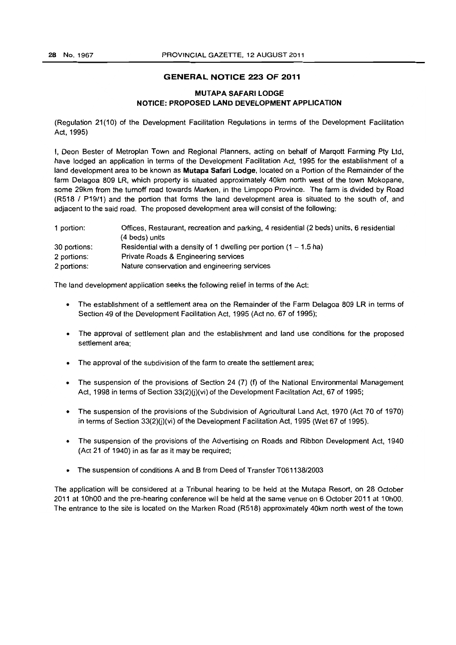#### GENERAL NOTICE 223 OF 2011

# MUTAPA SAFARI LODGE NOTICE: PROPOSED LAND DEVELOPMENT APPLICATION

(Regulation 21 (1 0) of the Development Facilitation Regulations in terms of the Development Facilitation Act, 1995)

I, Dean Bester of Metroplan Town and Regional Planners, acting on behalf of Marqott Farming Pty Ltd, have lodged an application in terms of the Development Facilitation Act, 1995 for the establishment of a land development area to be known as Mutapa Safari Lodge, located on a Portion of the Remainder of the farm Delagoa 809 LR, which property is situated approximately 40km north west of the town Mokopane, some 29km from the tumoff road towards Marken, in the Limpopo Province. The farm is divided by Road (R518 I P19/1) and the portion that forms the land development area is situated to the south of, and adjacent to the said road. The proposed development area will consist of the following:

| 1 portion:   | Offices, Restaurant, recreation and parking, 4 residential (2 beds) units, 6 residential |
|--------------|------------------------------------------------------------------------------------------|
|              | (4 beds) units                                                                           |
| 30 portions: | Residential with a density of 1 dwelling per portion $(1 - 1.5$ ha)                      |
| 2 portions:  | Private Roads & Engineering services                                                     |
| 2 portions:  | Nature conservation and engineering services                                             |

The land development application seeks the following relief in terms of the Act:

- The establishment of a settlement area on the Remainder of the Farm Delagoa 809 LR in terms of Section 49 of the Development Facilitation Act, 1995 (Act no. 67 of 1995);
- The approval of settlement plan and the establishment and land use conditions for the proposed settlement area;
- The approval of the subdivision of the farm to create the settlement area;
- The suspension of the provisions of Section 24 (7) (f) of the National Environmental Management Act, 1998 in terms of Section 33(2)(j)(vi) of the Development Facilitation Act, 67 of 1995;
- The suspension of the provisions of the Subdivision of Agricultural Land Act, 1970 (Act 70 of 1970) in terms of Section  $33(2)(j)(vi)$  of the Development Facilitation Act, 1995 (Wet 67 of 1995).
- The suspension of the provisions of the Advertising on Roads and Ribbon Development Act, 1940 (Act 21 of 1940) in as far as it may be required;
- The suspension of conditions A and B from Deed of Transfer T061138/2003

The application will be considered at a Tribunal hearing to be held at the Mutapa Resort, on 28 October 2011 at 10hOO and the pre-hearing conference will be held at the same venue on 6 October 2011 at 10hOO. The entrance to the site is located on the Marken Road (R518) approximately 40km north west of the town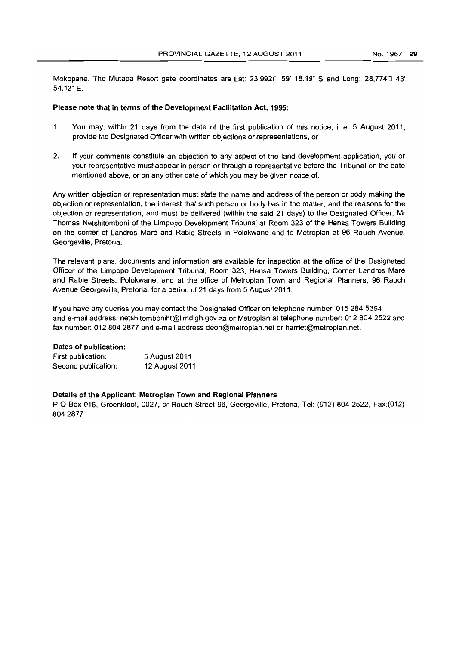Mokopane. The Mutapa Resort gate coordinates are Lat: 23,992 $\Box$  59' 18.19" S and Long: 28,774 $\Box$  43' 54.12" E.

#### Please note that in terms of the Development Facilitation Act, 1995:

- 1. You may, within 21 days from the date of the first publication of this notice, i. e. 5 August 2011, provide the Designated Officer with written objections or representations, or
- 2. If your comments constitute an objection to any aspect of the land development application, you or your representative must appear in person or through a representative before the Tribunal on the date mentioned above, or on any other date of which you may be given notice of.

Any written objection or representation must state the name and address of the person or body making the objection or representation, the interest that such person or body has in the matter. and the reasons for the objection or representation, and must be delivered (within the said 21 days) to the Designated Officer, Mr Thomas Netshitomboni of the Limpopo Development Tribunal at Room 323 of the Hensa Towers Building on the corner of Landros Mare and Rabie Streets in Polokwane and to Metroplan at 96 Rauch Avenue, Georgeville. Pretoria.

The relevant plans, documents and information are available for inspection at the office of the Designated Officer of the Limpopo Development Tribunal, Room 323, Hensa Towers Building, Corner Landros Mare and Rabie Streets, Polokwane, and at the office of Metroplan Town and Regional Planners, 96 Rauch Avenue Georgeville. Pretoria, for a period of 21 days from 5 August 2011.

If you have any queries you may contact the Designated Officer on telephone number: 015 284 5354 and e-mail address: netshitomboniht@limdlgh.gov.za or Metroplan at telephone number: 0128042522 and fax number: 012 804 2877 and e·mail address deon@metroplan.net or harriet@metroplan.net.

#### Dates of publication:

| First publication:  | 5 August 2011  |
|---------------------|----------------|
| Second publication: | 12 August 2011 |

#### Details of the Applicant: Metroplan Town and Regional Planners

POBox 916, Groenkloof, 0027, or Rauch Street 96, Georgeville, Pretoria, Tel: (012) 804 2522, Fax:(012) 8042877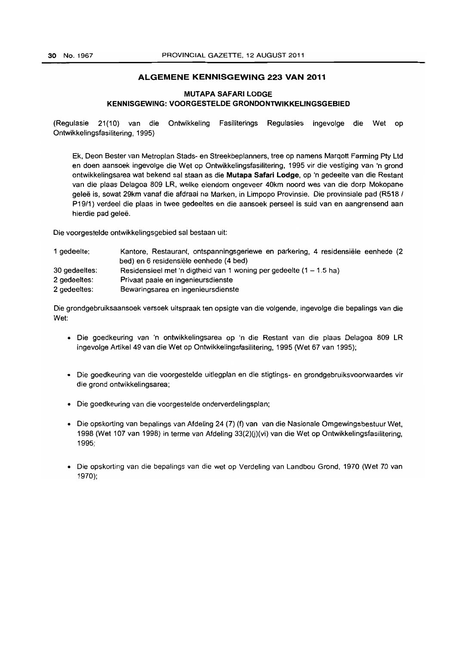### **ALGEMENE KENNISGEWING 223 VAN 2011**

# **MUTAPA SAFARI LODGE KENNISGEWING: VOORGESTELDE GRONDONTWIKKELINGSGEBIED**

(Regulasie 21(10) van die Ontwikkeling Fasiliterings Regulasies ingevolge die Wet op Ontwikkelingsfasilitering, 1995)

Ek. Deon Bester van Metroplan Stads- en Streekbeplanners, tree op namens Marqott Farming Pty Ltd en doen aansoek ingevolge die Wet op Ontwikkelingsfasilitering. 1995 vir die vestiging van 'n grond ontwikkelingsarea wat bekend sal staan as die **Mutapa Safari Lodge,** op 'n gedeelte van die Restant van die plaas Delagoa 809 LR, welke eiendom ongeveer 40km noord wes van die dorp Mokopane geleë is, sowat 29km vanaf die afdraai na Marken, in Limpopo Provinsie. Die provinsiale pad (R518 / P19/1) verdeel die plaas in twee gedeeltes en die aansoek perseel is suid van en aangrensend aan hierdie pad geleë.

Die voorgestelde ontwikkelingsgebied sal bestaan uit:

| 1 gedeelte:   | Kantore, Restaurant, ontspanningsgeriewe en parkering, 4 residensiële eenhede (2<br>bed) en 6 residensiële eenhede (4 bed) |
|---------------|----------------------------------------------------------------------------------------------------------------------------|
| 30 gedeeltes: | Residensieel met 'n digtheid van 1 woning per gedeelte $(1 - 1.5$ ha)                                                      |
| 2 gedeeltes:  | Privaat paaie en ingenieursdienste                                                                                         |
| 2 gedeeltes:  | Bewaringsarea en ingenieursdienste                                                                                         |

Die grondgebruiksaansoek versoek uitspraak ten opsigte van die volgende, ingevolge die bepalings van die Wet:

- Die goedkeuring van 'n ontwikkelingsarea op 'n die Restant van die plaas Delagoa 809 LR ingevolge Artikel 49 van die Wet op Ontwikkelingsfasilitering, 1995 (Wet 67 van 1995);
- Die goedkeuring van die voorgestelde uitlegplan en die stigtings- en grondgebruiksvoorwaardes vir die grand ontwikkelingsarea;
- Die goedkeuring van die voorgestelde onderverdelingsplan;
- Die opskorting van bepalings van Afdeling 24 (7) (f) van van die Nasionale Omgewingsbestuur Wet, 1998 (Wet 107 van 1998) in terme van Afdeling 33(2)(j)(vi) van die Wet op Ontwikkelingsfasilitering, 1995;
- Die opskorting van die bepalings van die wet op Verdeling van Landbou Grond, 1970 (Wet 70 van 1970);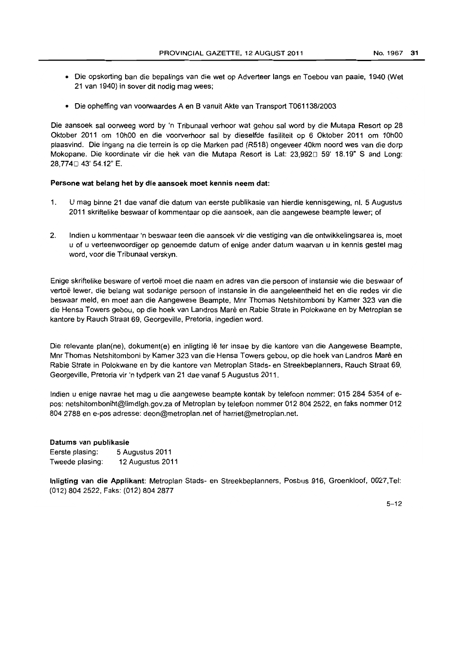- Die opskorting ban die bepalings van die wet op Adverteer langs en Toebou van paaie, 1940 (Wet 21 van 1940) in sover dit nodig mag wees;
- Die opheffing van voorwaardes A en B vanuit Akte van Transport T061138/2003

Die aansoek sal oorweeg word by 'n Tribunaal verhoor wat gehou sal word by die Mutapa Resort op 28 Oktober 2011 om 10hOO en die voorverhoor sal by dieselfde fasiliteit op 6 Oktober 2011 om 10hOO plaasvind. Die ingang na die terrein is op die Marken pad (R518) ongeveer 40km noord wes van die dorp Mokopane. Die koordinate vir die hek van die Mutapa Resort is Lat: 23.9920 59' 18.19" S and Long: 28,774□ 43' 54.12" E.

#### Persone wat belang het by die aansoek moet kennis neem dat:

- 1. U mag binne 21 dae vanaf die datum van eerste publikasie van hierdie kennisgewing. nl. 5 Augustus 2011 skriftelike beswaar of kommentaar op die aansoek. aan die aangewese beampte lewer; of
- 2. Indien u kommentaar 'n beswaar teen die aansoek vir die vestiging van die ontwikkelingsarea is, moet u of u verteenwoordiger op genoemde datum of enige ander datum waarvan u in kennis gestel mag word, voor die Tribunaal verskyn.

Enige skriftelike besware of vertoë moet die naam en adres van die persoon of instansie wie die beswaar of vertoë lewer, die belang wat sodanige persoon of instansie in die aangeleentheid het en die redes vir die beswaar meld, en moet aan die Aangewese Beampte, Mnr Thomas Netshitomboni by Kamer 323 van die die Hensa Towers gebou, op die hoek van Landros Mare en Rabie Strate in Polokwane en by Metroplan se kantore by Rauch Straat 69, Georgeville, Pretoria, ingedien word.

Die relevante plan(ne), dokument(e) en inligting lê ter insae by die kantore van die Aangewese Beampte, Mnr Thomas Netshitomboni by Kamer 323 van die Hensa Towers gebou, op die hoek van Landros Mare en Rabie Strate in Polokwane en by die kantore van Metroplan Stads- en Streekbeplanners, Rauch Straat 69, Georgeville, Pretoria vir 'n tydperk van 21 dae vansf 5 Augustus 2011.

Indien u enige navrae het mag u die aangewese beampte kontak by telefoon nommer: 0152845354 of epos: netshitomboniht@limdlgh.gov.za of Metroplan by telefoon nommer 012 804 2522, en faks nommer 012 8042788 en e-pos adresse: deon@metroplan.net of harriet@metroplan.net.

# Datums van publikasie

Eerste plasing: 5 Augustus 2011 Tweede plasing: 12 Augustus 2011

Inligting van die Applikant: Metroplan Stads- en Streekbeplanners, Posbus 916, Groenkloof, 0027,Tel: (012) 804 2522, Faks: (012) 804 2877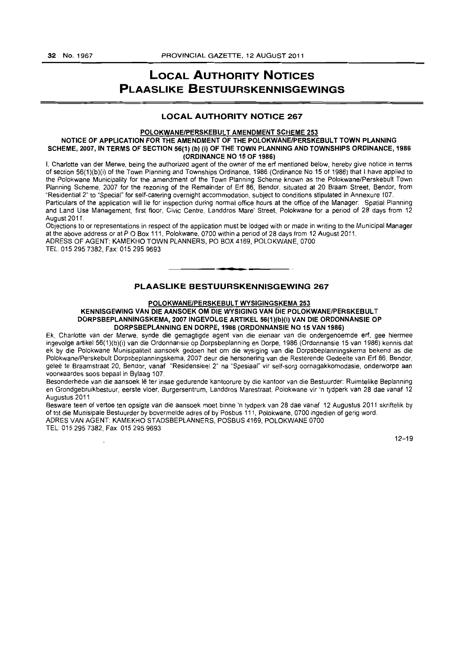# **LOCAL AUTHORITY NOTICES PLAASLIKE BESTUURSKENNISGEWINGS**

### LOCAL AUTHORITY NOTICE 267

#### POLOKWANE/PERSKEBULT AMENDMENT SCHEME 253

#### NOTICE OF APPLICATION FOR THE AMENDMENT OF THE POLOKWANE/PERSKEBULT TOWN PLANNING SCHEME, 2007, IN TERMS OF SECTION 56(1) (b) (i) OF THE TOWN PLANNING AND TOWNSHIPS ORDINANCE, 1986 (ORDINANCE NO 15 OF 1986)

I. Charlotte van der Merwe, being the authorized agent of the owner of the erf mentioned below, hereby give notice in terms of section 56(1)(b)(i) of the Town Planning and Townships Ordinance, 19S6 (Ordinance No 15 of 1986) that I have applied to the Polokwane Municipality for the amendment of the Town Planning Scheme known as the Polokwane/Perskebult Town Planning Scheme, 2007 for the rezoning of the Remainder of Erf 86, Bendor, situated at 20 Braam Street, Bendor, from "Residential 2" to "Special" for self-catering overnight accommodation, subject to conditions stipulated in Annexure 107.

Particulars of the application will lie for inspection during normal office hours at the office of the Manager. Spatial Planning and Land Use Management, first floor, Civic Centre, Landdros Mare' Street, Polokwane for a period of 28 days from 12 August 2011.

Objections to or representations in respect of the application must be lodged with or made in writing to the Municipal Manager at the above address or at POBox 111, Polokwane, 0700 within a period of 28 days from 12 August 2011. ADRESS OF AGENT: KAMEKHO TOWN PLANNERS, PO BOX 4169, POLOKWANE, 0700 TEL 015 2957382, Fax: 0152959693 . **-.** 

# PLAASLIKE BESTUURSKENNISGEWING 267

#### POLOKWANE/PERSKEBULT WYSIGINGSKEMA 253

#### KENNISGEWING VAN DIE AANSOEK OM DIE WYSIGING VAN DIE POLOKWANE/PERSKEBUL T DORPSBEPLANNINGSKEMA, 2007 INGEVOLGE ARTIKEL 56(1)(b)(i) VAN DIE ORDONNANSIE OP DORPSBEPLANNING EN DORPE, 1986 (ORDONNANSIE NO 15 VAN 1986)

Ek, Charlotte van der Merwe, synde die gemagtigde agent van die eienaar van die ondergenoemde erf, gee hiermee ingevolge artikel 56(1 )(b)(i) van die Ordonnansie op Dorpsbeplanning en Dorpe, 1986 (Ordonnansie 15 van 1986) kennis dat ek by die Polokwane Munisipaliteit aansoek gedoen het om die wysiging van die Dorpsbeplanningskema bekend as die Polokwane/Perskebult Dorpsbeplanningskema, 2007 deur die hersonering van die Resterende Gedeelte van Erf 86, Bendor, geleë te Braamstraat 20, Bendor, vanaf "Residensieel 2" na "Spesiaal" vir self-sorg oornagakkomodasie, onderworpe aan voorwaardes soos bepaal in Bylaag 107.

Besonderhede van die aansoek Ie ter insae gedurende kantoorure by die kantoor van die Bestuurder: Ruimtelike Beplanning en Grondgebruikbestuur, eerste vloer, Burgersentrum, Landdros Marestraat, Polokwane vir 'n tydperk van 28 dae vanaf 12 Augustus 2011

Besware teen of vertoe ten opsigte van die aansoek moet binne 'n tydperk van 28 dae vanaf 12 Augustus 2011 skriftelik by of tot die Munisipale Bestuurder by bovermelde adres of by Posbus 111, Polokwane, 0700 ingedien of gerig word. ADRES VAN AGENT: KAMEKHO STADSBEPLANNERS, POSBUS 4169, POLOKWANE 0700

TEL: 015 295 7382, Fax: 015 295 9693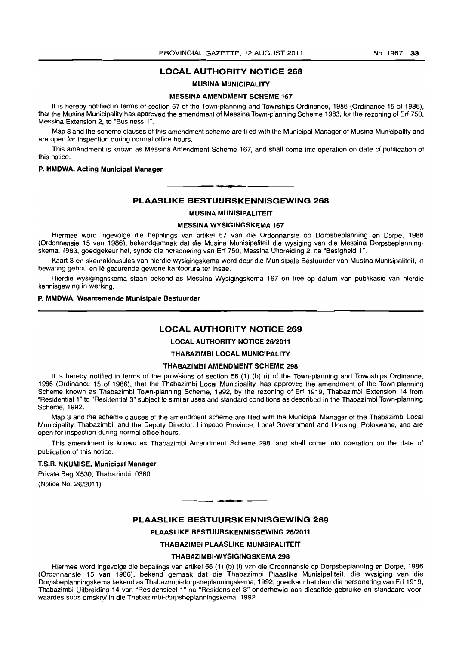### **LOCAL AUTHORITY NOTICE 268**

#### **MUSINA MUNICIPALITY**

#### **MESSINA AMENDMENT SCHEME 167**

It is hereby notified in terms of section 57 of the Town-planning and Townships Ordinance, 1986 (Ordinance 15 of 1986). that the Musina Municipality has approved the amendment of Messina Town-planning Scheme 1983, for the rezoning of Erf 750, Messina Extension 2, to "Business 1".

Map 3 and the scheme clauses of this amendment scheme are filed with the Municipal Manager of Musina Municipality and are open for inspection during normal office hours.

This amendment is known as Messina Amendment Scheme 167, and shall come into operation on date of publication of this notice.

#### **P. MMDWA, Acting Municipal Manager**

### **PLAASLIKE BESTUURSKENNISGEWING 268**

L **\_ •** 

#### **MUSINA MUNISIPALITEIT**

#### **MESSINA WYSIGtNGSKEMA 167**

Hiermee word ingevolge die bepalings van artikel 57 van die Ordonnansie op Dorpsbeplanning en Dorpe, 1986 (Ordonnansie 15 van 1986), bekendgemaak dat die Musina Munisipaliteit die wysiging van die Messina Dorpsbeplanningskema, 1983, goedgekeur het, synde die hersonering van Erf 750, Messina Uitbreiding 2, na "Besigheid 1".

Kaart 3 en skemaklousules van hierdie wysigingskema word deur die Munisipale Bestuurder van Musina Munisipaliteit, in bewaring gehou en lê gedurende gewone kantoorure ter insae.

Hierdie wysigingnskema staan bekend as Messina Wysigingskema 167 en tree op datum van publikasie van hierdie kennisgewing in werking.

#### **P. MMDWA, Waarnemende Munisipale Bestuurder**

#### **LOCAL AUTHORITY NOTICE 269**

# **LOCAL AUTHORITY NOTICE 26/2011**

# **THABAZIMBI LOCAL MUNICIPALITY**

#### **THABAZIMBI AMENDMENT SCHEME 298**

It is hereby notified in terms of the provisions of section 56 (1) (b) (i) of the Town-planning and Townships Ordinance, 1986 (Ordinance 15 of 1986), that the Thabazimbi Local Municipality, has approved the amendment of the Town-planning Scheme known as Thabazimbi Town-planning Scheme, 1992, by the rezoning of Erf 1919, Thabazimbi Extension 14 from "Residential 1" to "Residential 3" subject to similar uses and standard conditions as described in the Thabazimbi Town-planning Scheme, 1992.

Map 3 and the scheme clauses of the amendment scheme are filed with the Municipal Manager of the Thabazimbi Local Municipality, Thabazimbi, and the Deputy Director: Limpopo Province, Local Government and Housing, Polokwane, and are open for inspection during normal office hours.

This amendment is known as Thabazimbi Amendment Scheme 298, and shall come into operation on the date of publication of this notice.

#### **T.S.R. NKUMISE, Municipal Manager**

Private Bag X530, Thabazimbi, 0380 (Notice No. 26/2011)

#### **PLAASLIKE BESTUURSKENNISGEWING 269**

**• •** 

### **PLAASLIKE BESTUURSKENNISGEWING 26/2011**

**THABAZIMBI PLAASLIKE MUNISIPALITEIT** 

#### **THABAZIMBI-WYSIGINGSKEMA 298**

Hiermee word ingevolge die bepalings van artikel 56 (1) (b) (i) van die Ordonnansie op Dorpsbeplanning en Dorpe, 1986 (Ordonnansie 15 van 1986), bekend gemaak dat die Thabazimbi Plaaslike Munisipaliteit, die wysiging van die Dorpsbeplanningskema bekend as Thabazimbi-dorpsbeplanningskema, 1992, goedkeur het deur die hersonering van Erf 1919, Thabazimbi Uitbreiding 14 van "Residensieel 1" na "Residensieel 3" onderhewig aan dieselfde gebruike en standaard voorwaardes soos omskryf in die Thabazimbi-dorpsbeplanningskema, 1992.